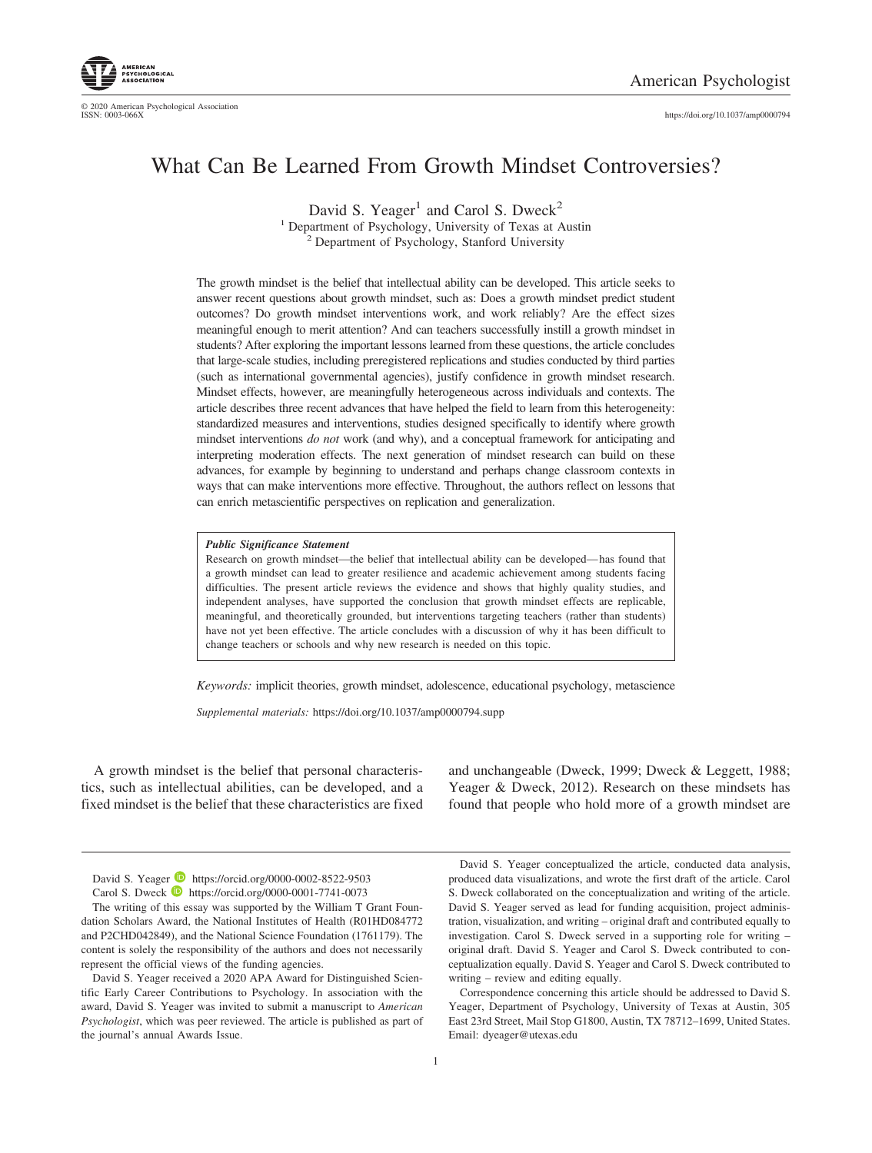

© 2020 American Psychological Association<br>ISSN: 0003-066X https://doi.org[/10.1037/amp0000794](https://doi.org/10.1037/amp0000794)

# What Can Be Learned From Growth Mindset Controversies?

David S. Yeager<sup>1</sup> and Carol S. Dweck<sup>2</sup>

<sup>1</sup> Department of Psychology, University of Texas at Austin <sup>2</sup> Department of Psychology, Stanford University

The growth mindset is the belief that intellectual ability can be developed. This article seeks to answer recent questions about growth mindset, such as: Does a growth mindset predict student outcomes? Do growth mindset interventions work, and work reliably? Are the effect sizes meaningful enough to merit attention? And can teachers successfully instill a growth mindset in students? After exploring the important lessons learned from these questions, the article concludes that large-scale studies, including preregistered replications and studies conducted by third parties (such as international governmental agencies), justify confidence in growth mindset research. Mindset effects, however, are meaningfully heterogeneous across individuals and contexts. The article describes three recent advances that have helped the field to learn from this heterogeneity: standardized measures and interventions, studies designed specifically to identify where growth mindset interventions *do not* work (and why), and a conceptual framework for anticipating and interpreting moderation effects. The next generation of mindset research can build on these advances, for example by beginning to understand and perhaps change classroom contexts in ways that can make interventions more effective. Throughout, the authors reflect on lessons that can enrich metascientific perspectives on replication and generalization.

#### *Public Significance Statement*

Research on growth mindset—the belief that intellectual ability can be developed— has found that a growth mindset can lead to greater resilience and academic achievement among students facing difficulties. The present article reviews the evidence and shows that highly quality studies, and independent analyses, have supported the conclusion that growth mindset effects are replicable, meaningful, and theoretically grounded, but interventions targeting teachers (rather than students) have not yet been effective. The article concludes with a discussion of why it has been difficult to change teachers or schools and why new research is needed on this topic.

*Keywords:* implicit theories, growth mindset, adolescence, educational psychology, metascience

*Supplemental materials:* https://doi.org/10.1037/amp0000794.supp

A growth mindset is the belief that personal characteristics, such as intellectual abilities, can be developed, and a fixed mindset is the belief that these characteristics are fixed and unchangeable [\(Dweck, 1999;](#page-13-0) [Dweck & Leggett, 1988;](#page-13-1) [Yeager & Dweck, 2012\)](#page-15-0). Research on these mindsets has found that people who hold more of a growth mindset are

David S. Yeager **I** https://orcid.org/0000-0002-8522-9503 Carol S. Dweck **D** https://orcid.org/0000-0001-7741-0073

David S. Yeager conceptualized the article, conducted data analysis, produced data visualizations, and wrote the first draft of the article. Carol S. Dweck collaborated on the conceptualization and writing of the article. David S. Yeager served as lead for funding acquisition, project administration, visualization, and writing – original draft and contributed equally to investigation. Carol S. Dweck served in a supporting role for writing – original draft. David S. Yeager and Carol S. Dweck contributed to conceptualization equally. David S. Yeager and Carol S. Dweck contributed to writing – review and editing equally.

Correspondence concerning this article should be addressed to David S. Yeager, Department of Psychology, University of Texas at Austin, 305 East 23rd Street, Mail Stop G1800, Austin, TX 78712–1699, United States. Email: [dyeager@utexas.edu](mailto:dyeager@utexas.edu)

The writing of this essay was supported by the William T Grant Foundation Scholars Award, the National Institutes of Health (R01HD084772 and P2CHD042849), and the National Science Foundation (1761179). The content is solely the responsibility of the authors and does not necessarily represent the official views of the funding agencies.

David S. Yeager received a 2020 APA Award for Distinguished Scientific Early Career Contributions to Psychology. In association with the award, David S. Yeager was invited to submit a manuscript to *American Psychologist*, which was peer reviewed. The article is published as part of the journal's annual Awards Issue.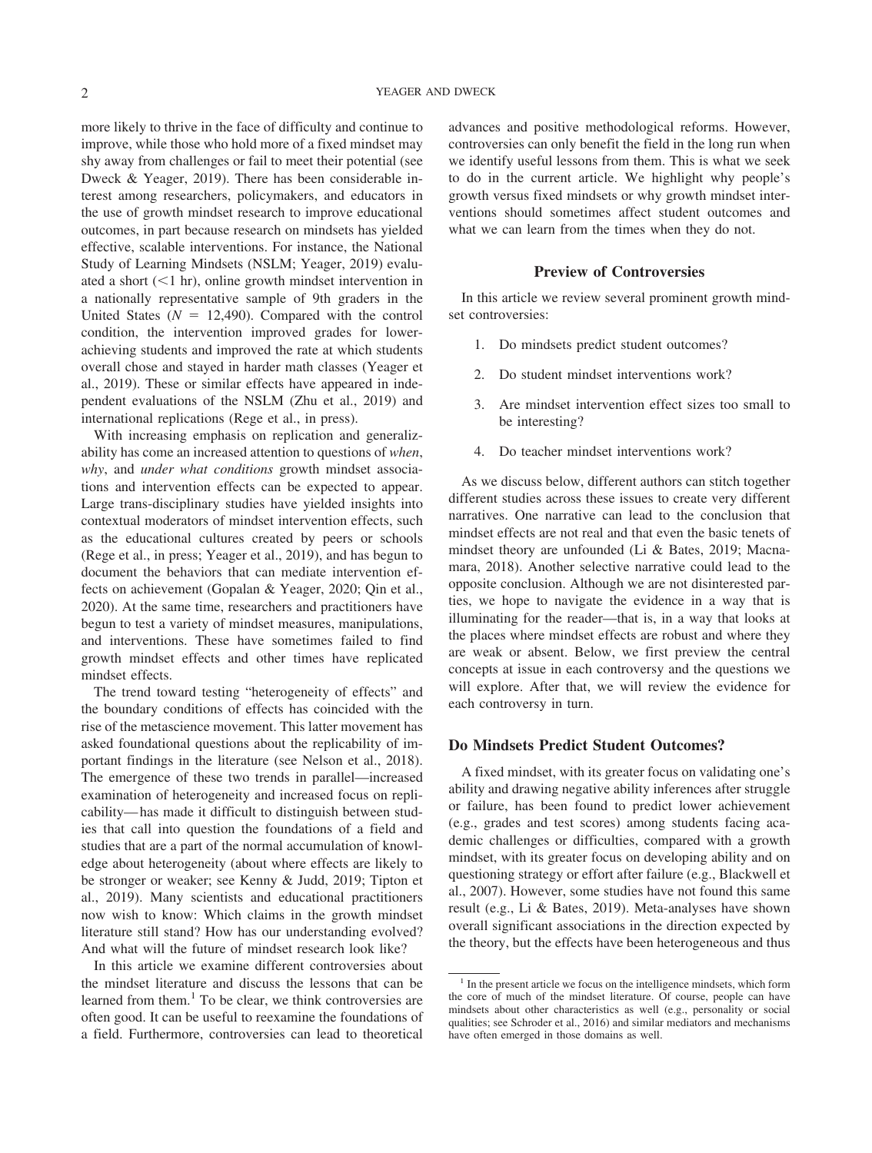more likely to thrive in the face of difficulty and continue to improve, while those who hold more of a fixed mindset may shy away from challenges or fail to meet their potential (see [Dweck & Yeager, 2019\)](#page-13-2). There has been considerable interest among researchers, policymakers, and educators in the use of growth mindset research to improve educational outcomes, in part because research on mindsets has yielded effective, scalable interventions. For instance, the National Study of Learning Mindsets (NSLM; [Yeager, 2019\)](#page-15-1) evaluated a short  $(<1$  hr), online growth mindset intervention in a nationally representative sample of 9th graders in the United States  $(N = 12,490)$ . Compared with the control condition, the intervention improved grades for lowerachieving students and improved the rate at which students overall chose and stayed in harder math classes [\(Yeager et](#page-15-2) [al., 2019\)](#page-15-2). These or similar effects have appeared in independent evaluations of the NSLM [\(Zhu et al., 2019\)](#page-15-3) and international replications [\(Rege et al., in press\)](#page-14-0).

With increasing emphasis on replication and generalizability has come an increased attention to questions of *when*, *why*, and *under what conditions* growth mindset associations and intervention effects can be expected to appear. Large trans-disciplinary studies have yielded insights into contextual moderators of mindset intervention effects, such as the educational cultures created by peers or schools [\(Rege et al., in press;](#page-14-0) [Yeager et al., 2019\)](#page-15-2), and has begun to document the behaviors that can mediate intervention effects on achievement [\(Gopalan & Yeager, 2020;](#page-13-3) [Qin et al.,](#page-14-1) [2020\)](#page-14-1). At the same time, researchers and practitioners have begun to test a variety of mindset measures, manipulations, and interventions. These have sometimes failed to find growth mindset effects and other times have replicated mindset effects.

The trend toward testing "heterogeneity of effects" and the boundary conditions of effects has coincided with the rise of the metascience movement. This latter movement has asked foundational questions about the replicability of important findings in the literature (see [Nelson et al., 2018\)](#page-14-2). The emergence of these two trends in parallel—increased examination of heterogeneity and increased focus on replicability— has made it difficult to distinguish between studies that call into question the foundations of a field and studies that are a part of the normal accumulation of knowledge about heterogeneity (about where effects are likely to be stronger or weaker; see [Kenny & Judd, 2019;](#page-13-4) [Tipton et](#page-14-3) [al., 2019\)](#page-14-3). Many scientists and educational practitioners now wish to know: Which claims in the growth mindset literature still stand? How has our understanding evolved? And what will the future of mindset research look like?

In this article we examine different controversies about the mindset literature and discuss the lessons that can be learned from them. $<sup>1</sup>$  To be clear, we think controversies are</sup> often good. It can be useful to reexamine the foundations of a field. Furthermore, controversies can lead to theoretical advances and positive methodological reforms. However, controversies can only benefit the field in the long run when we identify useful lessons from them. This is what we seek to do in the current article. We highlight why people's growth versus fixed mindsets or why growth mindset interventions should sometimes affect student outcomes and what we can learn from the times when they do not.

# **Preview of Controversies**

In this article we review several prominent growth mindset controversies:

- 1. Do mindsets predict student outcomes?
- 2. Do student mindset interventions work?
- 3. Are mindset intervention effect sizes too small to be interesting?
- 4. Do teacher mindset interventions work?

As we discuss below, different authors can stitch together different studies across these issues to create very different narratives. One narrative can lead to the conclusion that mindset effects are not real and that even the basic tenets of mindset theory are unfounded [\(Li & Bates, 2019;](#page-14-4) [Macna](#page-14-5)[mara, 2018\)](#page-14-5). Another selective narrative could lead to the opposite conclusion. Although we are not disinterested parties, we hope to navigate the evidence in a way that is illuminating for the reader—that is, in a way that looks at the places where mindset effects are robust and where they are weak or absent. Below, we first preview the central concepts at issue in each controversy and the questions we will explore. After that, we will review the evidence for each controversy in turn.

## **Do Mindsets Predict Student Outcomes?**

A fixed mindset, with its greater focus on validating one's ability and drawing negative ability inferences after struggle or failure, has been found to predict lower achievement (e.g., grades and test scores) among students facing academic challenges or difficulties, compared with a growth mindset, with its greater focus on developing ability and on questioning strategy or effort after failure (e.g., [Blackwell et](#page-13-5) [al., 2007\)](#page-13-5). However, some studies have not found this same result (e.g., [Li & Bates, 2019\)](#page-14-4). Meta-analyses have shown overall significant associations in the direction expected by the theory, but the effects have been heterogeneous and thus

<sup>&</sup>lt;sup>1</sup> In the present article we focus on the intelligence mindsets, which form the core of much of the mindset literature. Of course, people can have mindsets about other characteristics as well (e.g., personality or social qualities; see [Schroder et al., 2016\)](#page-14-6) and similar mediators and mechanisms have often emerged in those domains as well.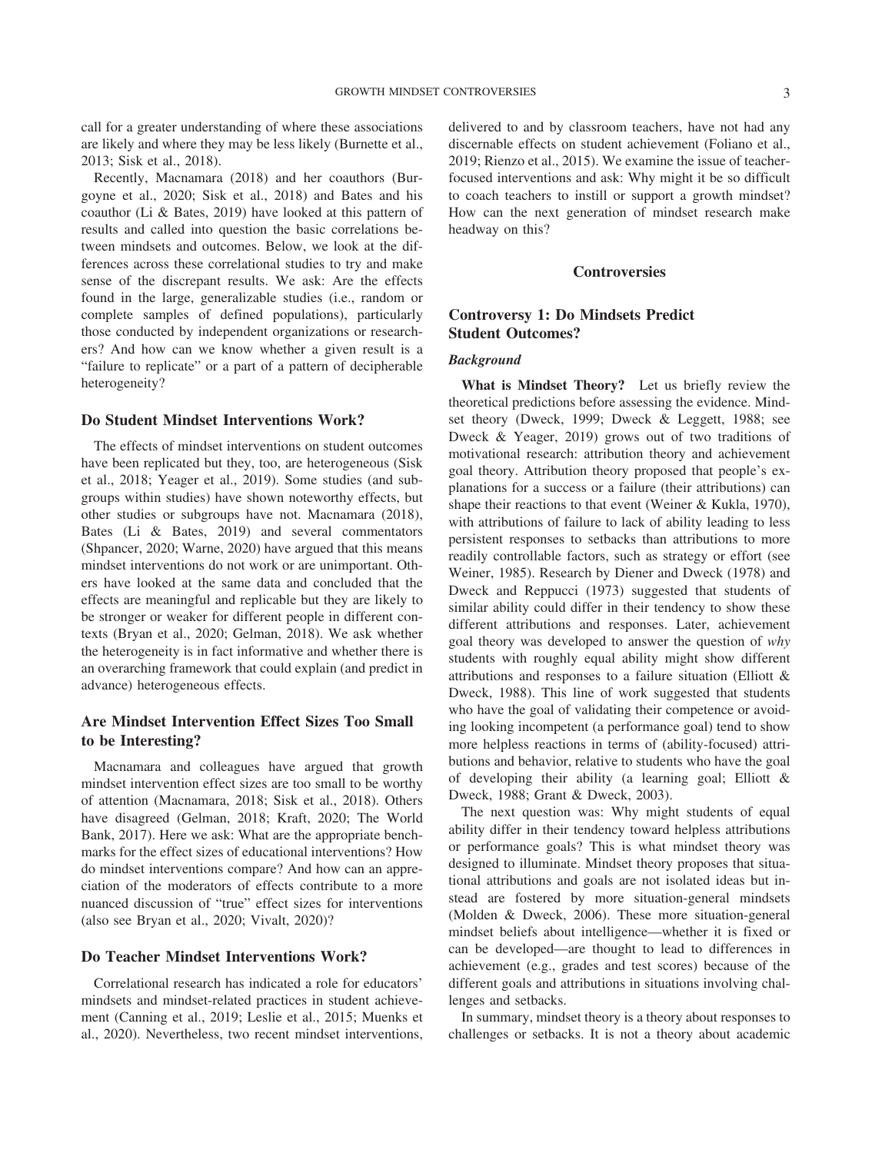call for a greater understanding of where these associations are likely and where they may be less likely [\(Burnette et al.,](#page-13-6) [2013;](#page-13-6) [Sisk et al., 2018\)](#page-14-7).

Recently, [Macnamara \(2018\)](#page-14-5) and her coauthors [\(Bur](#page-13-7)[goyne et al., 2020;](#page-13-7) [Sisk et al., 2018\)](#page-14-7) and Bates and his coauthor [\(Li & Bates, 2019\)](#page-14-4) have looked at this pattern of results and called into question the basic correlations between mindsets and outcomes. Below, we look at the differences across these correlational studies to try and make sense of the discrepant results. We ask: Are the effects found in the large, generalizable studies (i.e., random or complete samples of defined populations), particularly those conducted by independent organizations or researchers? And how can we know whether a given result is a "failure to replicate" or a part of a pattern of decipherable heterogeneity?

# **Do Student Mindset Interventions Work?**

The effects of mindset interventions on student outcomes have been replicated but they, too, are heterogeneous [\(Sisk](#page-14-7) [et al., 2018;](#page-14-7) [Yeager et al., 2019\)](#page-15-2). Some studies (and subgroups within studies) have shown noteworthy effects, but other studies or subgroups have not. [Macnamara \(2018\),](#page-14-5) Bates [\(Li & Bates, 2019\)](#page-14-4) and several commentators [\(Shpancer, 2020;](#page-14-8) [Warne, 2020\)](#page-14-9) have argued that this means mindset interventions do not work or are unimportant. Others have looked at the same data and concluded that the effects are meaningful and replicable but they are likely to be stronger or weaker for different people in different contexts [\(Bryan et al., 2020;](#page-13-8) [Gelman, 2018\)](#page-13-9). We ask whether the heterogeneity is in fact informative and whether there is an overarching framework that could explain (and predict in advance) heterogeneous effects.

# **Are Mindset Intervention Effect Sizes Too Small to be Interesting?**

Macnamara and colleagues have argued that growth mindset intervention effect sizes are too small to be worthy of attention [\(Macnamara, 2018;](#page-14-5) [Sisk et al., 2018\)](#page-14-7). Others have disagreed [\(Gelman, 2018;](#page-13-9) [Kraft, 2020;](#page-13-10) [The World](#page-14-10) [Bank, 2017\)](#page-14-10). Here we ask: What are the appropriate benchmarks for the effect sizes of educational interventions? How do mindset interventions compare? And how can an appreciation of the moderators of effects contribute to a more nuanced discussion of "true" effect sizes for interventions (also see [Bryan et al., 2020;](#page-13-8) [Vivalt, 2020\)](#page-14-11)?

## **Do Teacher Mindset Interventions Work?**

Correlational research has indicated a role for educators' mindsets and mindset-related practices in student achievement [\(Canning et al., 2019;](#page-13-11) [Leslie et al., 2015;](#page-14-12) [Muenks et](#page-14-13) [al., 2020\)](#page-14-13). Nevertheless, two recent mindset interventions, delivered to and by classroom teachers, have not had any discernable effects on student achievement [\(Foliano et al.,](#page-13-12) [2019;](#page-13-12) [Rienzo et al., 2015\)](#page-14-14). We examine the issue of teacherfocused interventions and ask: Why might it be so difficult to coach teachers to instill or support a growth mindset? How can the next generation of mindset research make headway on this?

# **Controversies**

# **Controversy 1: Do Mindsets Predict Student Outcomes?**

#### *Background*

**What is Mindset Theory?** Let us briefly review the theoretical predictions before assessing the evidence. Mindset theory [\(Dweck, 1999;](#page-13-0) [Dweck & Leggett, 1988;](#page-13-1) see [Dweck & Yeager, 2019\)](#page-13-2) grows out of two traditions of motivational research: attribution theory and achievement goal theory. Attribution theory proposed that people's explanations for a success or a failure (their attributions) can shape their reactions to that event [\(Weiner & Kukla, 1970\)](#page-15-4), with attributions of failure to lack of ability leading to less persistent responses to setbacks than attributions to more readily controllable factors, such as strategy or effort (see [Weiner, 1985\)](#page-15-5). Research by [Diener and Dweck \(1978\)](#page-13-13) and [Dweck and Reppucci \(1973\)](#page-13-14) suggested that students of similar ability could differ in their tendency to show these different attributions and responses. Later, achievement goal theory was developed to answer the question of *why* students with roughly equal ability might show different attributions and responses to a failure situation [\(Elliott &](#page-13-15) [Dweck, 1988\)](#page-13-15). This line of work suggested that students who have the goal of validating their competence or avoiding looking incompetent (a performance goal) tend to show more helpless reactions in terms of (ability-focused) attributions and behavior, relative to students who have the goal of developing their ability (a learning goal; [Elliott &](#page-13-15) [Dweck, 1988;](#page-13-15) [Grant & Dweck, 2003\)](#page-13-16).

The next question was: Why might students of equal ability differ in their tendency toward helpless attributions or performance goals? This is what mindset theory was designed to illuminate. Mindset theory proposes that situational attributions and goals are not isolated ideas but instead are fostered by more situation-general mindsets [\(Molden & Dweck, 2006\)](#page-14-15). These more situation-general mindset beliefs about intelligence—whether it is fixed or can be developed—are thought to lead to differences in achievement (e.g., grades and test scores) because of the different goals and attributions in situations involving challenges and setbacks.

In summary, mindset theory is a theory about responses to challenges or setbacks. It is not a theory about academic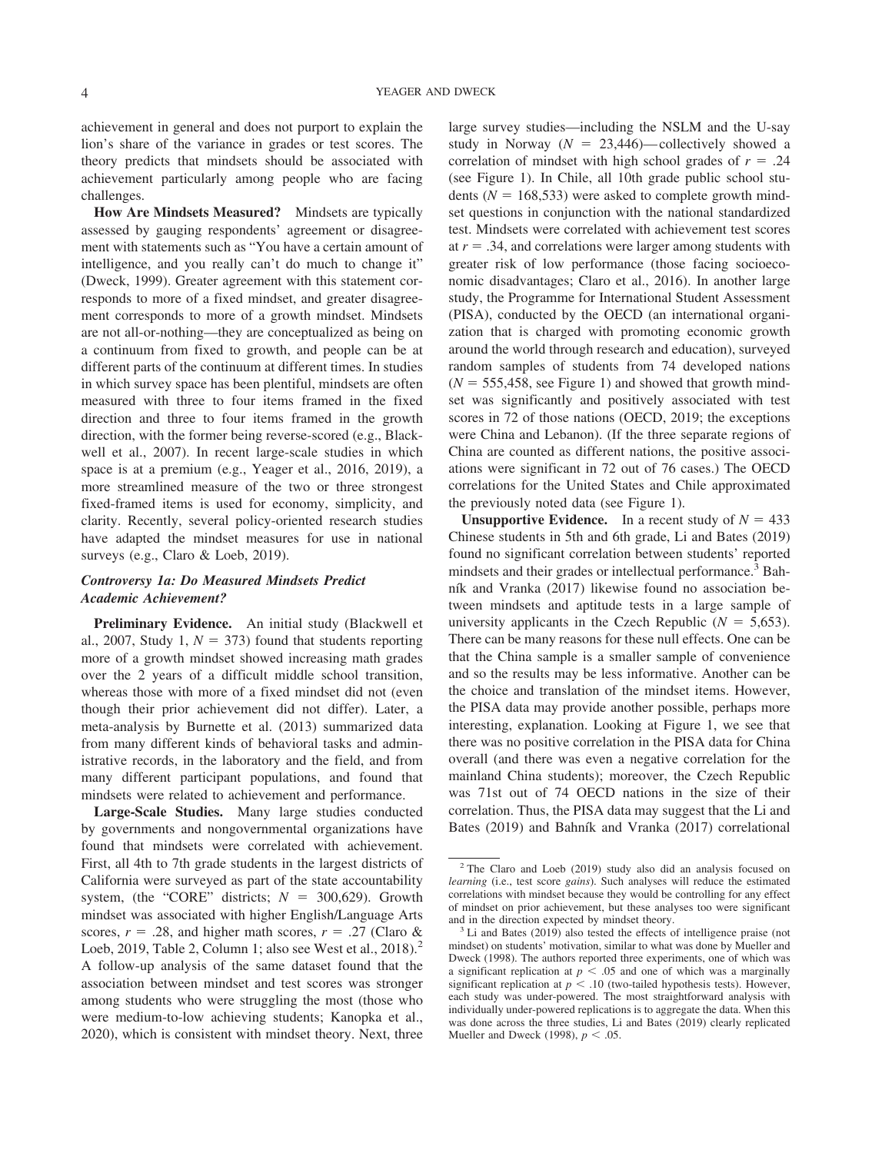achievement in general and does not purport to explain the lion's share of the variance in grades or test scores. The theory predicts that mindsets should be associated with achievement particularly among people who are facing challenges.

**How Are Mindsets Measured?** Mindsets are typically assessed by gauging respondents' agreement or disagreement with statements such as "You have a certain amount of intelligence, and you really can't do much to change it" [\(Dweck, 1999\)](#page-13-0). Greater agreement with this statement corresponds to more of a fixed mindset, and greater disagreement corresponds to more of a growth mindset. Mindsets are not all-or-nothing—they are conceptualized as being on a continuum from fixed to growth, and people can be at different parts of the continuum at different times. In studies in which survey space has been plentiful, mindsets are often measured with three to four items framed in the fixed direction and three to four items framed in the growth direction, with the former being reverse-scored (e.g., [Black](#page-13-5)[well et al., 2007\)](#page-13-5). In recent large-scale studies in which space is at a premium (e.g., [Yeager et al., 2016,](#page-15-6) [2019\)](#page-15-7), a more streamlined measure of the two or three strongest fixed-framed items is used for economy, simplicity, and clarity. Recently, several policy-oriented research studies have adapted the mindset measures for use in national surveys (e.g., [Claro & Loeb, 2019\)](#page-13-17).

# *Controversy 1a: Do Measured Mindsets Predict Academic Achievement?*

**Preliminary Evidence.** An initial study [\(Blackwell et](#page-13-5) [al., 2007,](#page-13-5) Study 1,  $N = 373$ ) found that students reporting more of a growth mindset showed increasing math grades over the 2 years of a difficult middle school transition, whereas those with more of a fixed mindset did not (even though their prior achievement did not differ). Later, a meta-analysis by [Burnette et al. \(2013\)](#page-13-6) summarized data from many different kinds of behavioral tasks and administrative records, in the laboratory and the field, and from many different participant populations, and found that mindsets were related to achievement and performance.

**Large-Scale Studies.** Many large studies conducted by governments and nongovernmental organizations have found that mindsets were correlated with achievement. First, all 4th to 7th grade students in the largest districts of California were surveyed as part of the state accountability system, (the "CORE" districts;  $N = 300,629$ ). Growth mindset was associated with higher English/Language Arts scores,  $r = .28$ , and higher math scores,  $r = .27$  [\(Claro &](#page-13-17) [Loeb, 2019,](#page-13-17) Table 2, Column 1; also see West et al.,  $2018$ <sup>2</sup> A follow-up analysis of the same dataset found that the association between mindset and test scores was stronger among students who were struggling the most (those who were medium-to-low achieving students; [Kanopka et al.,](#page-13-18) [2020\)](#page-13-18), which is consistent with mindset theory. Next, three

large survey studies—including the NSLM and the U-say study in Norway  $(N = 23,446)$ —collectively showed a correlation of mindset with high school grades of  $r = .24$ (see [Figure 1\)](#page-4-0). In Chile, all 10th grade public school students ( $N = 168,533$ ) were asked to complete growth mindset questions in conjunction with the national standardized test. Mindsets were correlated with achievement test scores at  $r = .34$ , and correlations were larger among students with greater risk of low performance (those facing socioeconomic disadvantages; [Claro et al., 2016\)](#page-13-19). In another large study, the Programme for International Student Assessment (PISA), conducted by the OECD (an international organization that is charged with promoting economic growth around the world through research and education), surveyed random samples of students from 74 developed nations  $(N = 555,458,$  see [Figure 1\)](#page-4-0) and showed that growth mindset was significantly and positively associated with test scores in 72 of those nations [\(OECD, 2019;](#page-14-16) the exceptions were China and Lebanon). (If the three separate regions of China are counted as different nations, the positive associations were significant in 72 out of 76 cases.) The OECD correlations for the United States and Chile approximated the previously noted data (see [Figure 1\)](#page-4-0).

**Unsupportive Evidence.** In a recent study of  $N = 433$ Chinese students in 5th and 6th grade, [Li and Bates \(2019\)](#page-14-4) found no significant correlation between students' reported mindsets and their grades or intellectual performance.<sup>3</sup> [Bah](#page-13-20)[ník and Vranka \(2017\)](#page-13-20) likewise found no association between mindsets and aptitude tests in a large sample of university applicants in the Czech Republic  $(N = 5,653)$ . There can be many reasons for these null effects. One can be that the China sample is a smaller sample of convenience and so the results may be less informative. Another can be the choice and translation of the mindset items. However, the PISA data may provide another possible, perhaps more interesting, explanation. Looking at [Figure 1,](#page-4-0) we see that there was no positive correlation in the PISA data for China overall (and there was even a negative correlation for the mainland China students); moreover, the Czech Republic was 71st out of 74 OECD nations in the size of their correlation. Thus, the PISA data may suggest that the [Li and](#page-14-4) [Bates \(2019\)](#page-14-4) and [Bahník and Vranka \(2017\)](#page-13-20) correlational

<sup>2</sup> The [Claro and Loeb \(2019\)](#page-13-17) study also did an analysis focused on *learning* (i.e., test score *gains*). Such analyses will reduce the estimated correlations with mindset because they would be controlling for any effect of mindset on prior achievement, but these analyses too were significant

and in the direction expected by mindset theory.<br> $3$  [Li and Bates \(2019\)](#page-14-4) also tested the effects of intelligence praise (not mindset) on students' motivation, similar to what was done by [Mueller and](#page-14-17) [Dweck \(1998\).](#page-14-17) The authors reported three experiments, one of which was a significant replication at  $p < .05$  and one of which was a marginally significant replication at  $p < .10$  (two-tailed hypothesis tests). However, each study was under-powered. The most straightforward analysis with individually under-powered replications is to aggregate the data. When this was done across the three studies, [Li and Bates \(2019\)](#page-14-4) clearly replicated [Mueller and Dweck \(1998\),](#page-14-17)  $p < .05$ .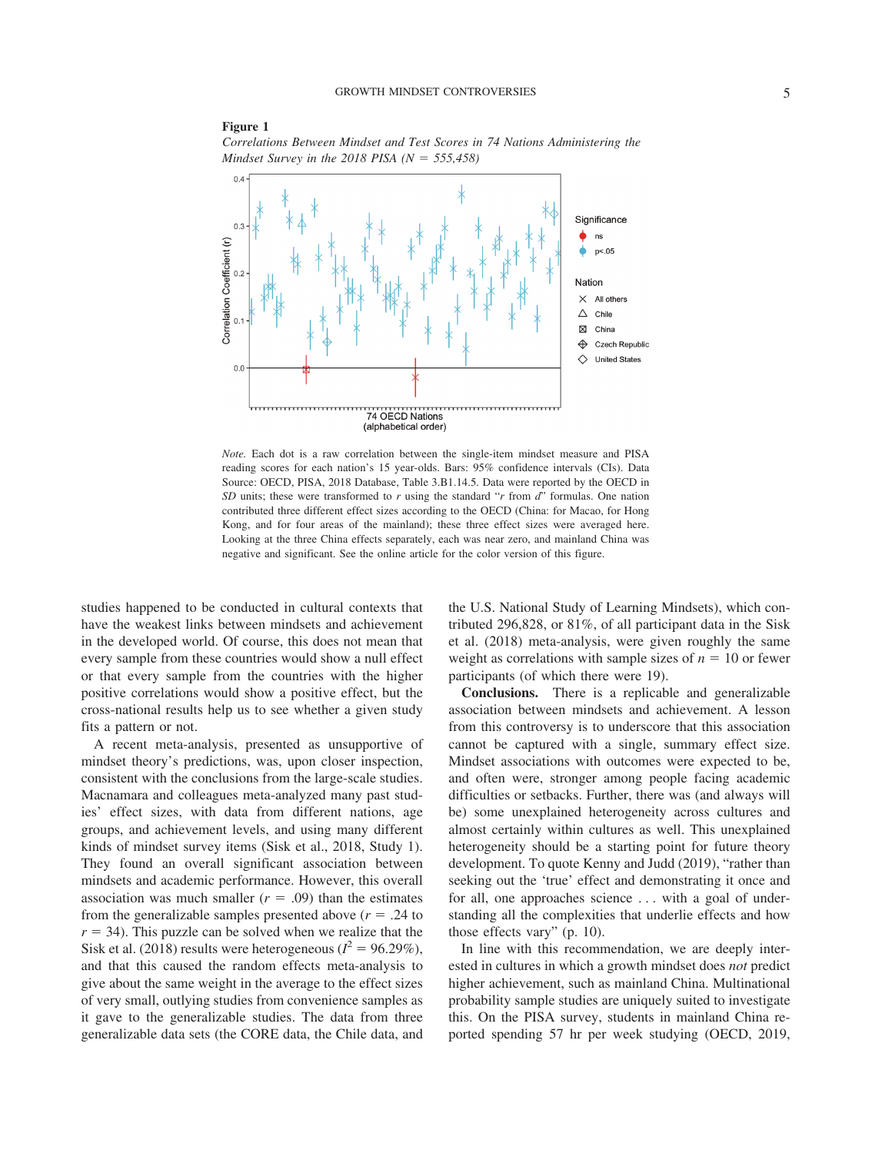## <span id="page-4-0"></span>**Figure 1**

*Correlations Between Mindset and Test Scores in 74 Nations Administering the Mindset Survey in the 2018 PISA (N 555,458)*



*Note.* Each dot is a raw correlation between the single-item mindset measure and PISA reading scores for each nation's 15 year-olds. Bars: 95% confidence intervals (CIs). Data Source: OECD, PISA, 2018 Database, Table 3.B1.14.5. Data were reported by the OECD in *SD* units; these were transformed to *r* using the standard "*r* from *d*" formulas. One nation contributed three different effect sizes according to the OECD (China: for Macao, for Hong Kong, and for four areas of the mainland); these three effect sizes were averaged here. Looking at the three China effects separately, each was near zero, and mainland China was negative and significant. See the online article for the color version of this figure.

studies happened to be conducted in cultural contexts that have the weakest links between mindsets and achievement in the developed world. Of course, this does not mean that every sample from these countries would show a null effect or that every sample from the countries with the higher positive correlations would show a positive effect, but the cross-national results help us to see whether a given study fits a pattern or not.

A recent meta-analysis, presented as unsupportive of mindset theory's predictions, was, upon closer inspection, consistent with the conclusions from the large-scale studies. Macnamara and colleagues meta-analyzed many past studies' effect sizes, with data from different nations, age groups, and achievement levels, and using many different kinds of mindset survey items [\(Sisk et al., 2018,](#page-14-7) Study 1). They found an overall significant association between mindsets and academic performance. However, this overall association was much smaller  $(r = .09)$  than the estimates from the generalizable samples presented above  $(r = .24$  to  $r = 34$ ). This puzzle can be solved when we realize that the [Sisk et al. \(2018\)](#page-14-7) results were heterogeneous ( $l^2 = 96.29\%$ ), and that this caused the random effects meta-analysis to give about the same weight in the average to the effect sizes of very small, outlying studies from convenience samples as it gave to the generalizable studies. The data from three generalizable data sets (the CORE data, the Chile data, and

the U.S. National Study of Learning Mindsets), which contributed 296,828, or 81%, of all participant data in the [Sisk](#page-14-7) [et al. \(2018\)](#page-14-7) meta-analysis, were given roughly the same weight as correlations with sample sizes of  $n = 10$  or fewer participants (of which there were 19).

**Conclusions.** There is a replicable and generalizable association between mindsets and achievement. A lesson from this controversy is to underscore that this association cannot be captured with a single, summary effect size. Mindset associations with outcomes were expected to be, and often were, stronger among people facing academic difficulties or setbacks. Further, there was (and always will be) some unexplained heterogeneity across cultures and almost certainly within cultures as well. This unexplained heterogeneity should be a starting point for future theory development. To quote [Kenny and Judd \(2019\),](#page-13-4) "rather than seeking out the 'true' effect and demonstrating it once and for all, one approaches science . . . with a goal of understanding all the complexities that underlie effects and how those effects vary" (p. 10).

In line with this recommendation, we are deeply interested in cultures in which a growth mindset does *not* predict higher achievement, such as mainland China. Multinational probability sample studies are uniquely suited to investigate this. On the PISA survey, students in mainland China reported spending 57 hr per week studying [\(OECD, 2019,](#page-14-16)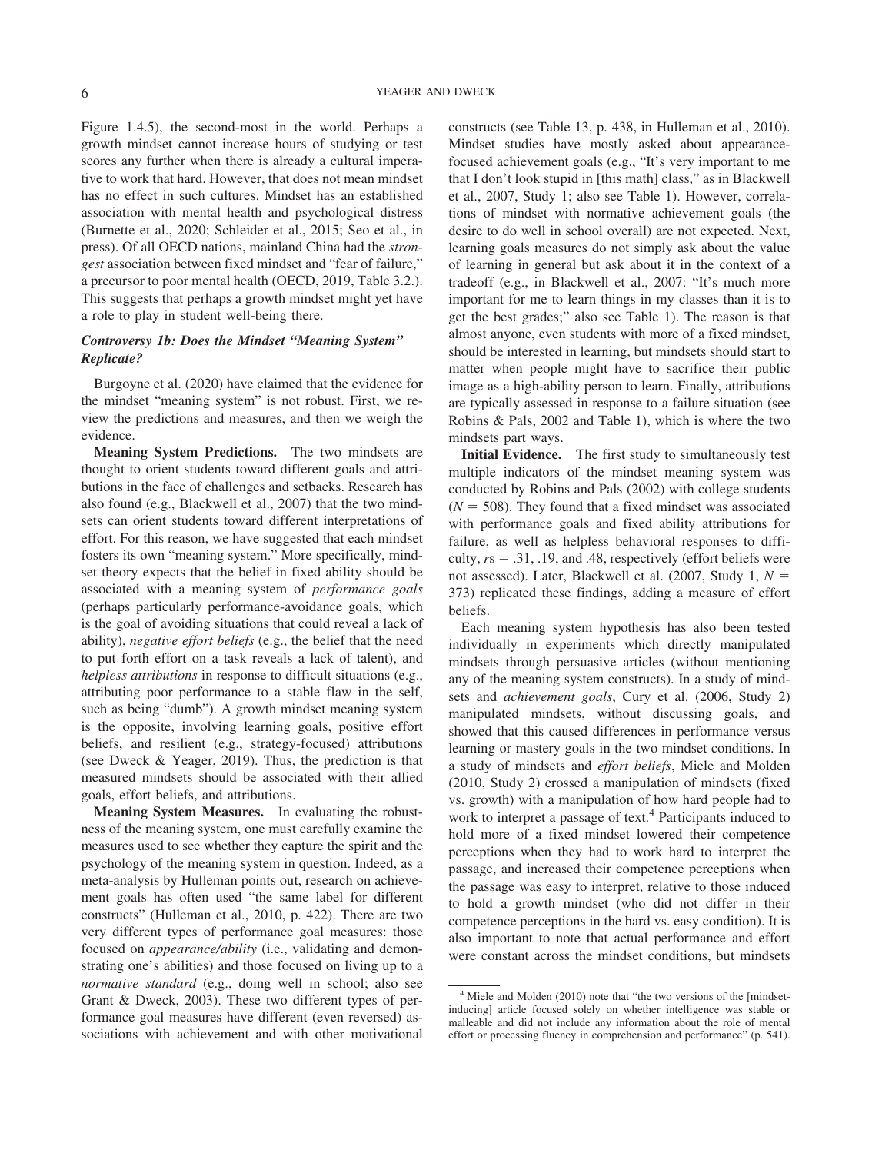Figure 1.4.5), the second-most in the world. Perhaps a growth mindset cannot increase hours of studying or test scores any further when there is already a cultural imperative to work that hard. However, that does not mean mindset has no effect in such cultures. Mindset has an established association with mental health and psychological distress [\(Burnette et al., 2020;](#page-13-21) [Schleider et al., 2015;](#page-14-18) [Seo et al., in](#page-14-19) [press\)](#page-14-19). Of all OECD nations, mainland China had the *strongest* association between fixed mindset and "fear of failure," a precursor to poor mental health [\(OECD, 2019,](#page-14-16) Table 3.2.). This suggests that perhaps a growth mindset might yet have a role to play in student well-being there.

# *Controversy 1b: Does the Mindset "Meaning System" Replicate?*

[Burgoyne et al. \(2020\)](#page-13-7) have claimed that the evidence for the mindset "meaning system" is not robust. First, we review the predictions and measures, and then we weigh the evidence.

**Meaning System Predictions.** The two mindsets are thought to orient students toward different goals and attributions in the face of challenges and setbacks. Research has also found (e.g., [Blackwell et al., 2007\)](#page-13-5) that the two mindsets can orient students toward different interpretations of effort. For this reason, we have suggested that each mindset fosters its own "meaning system." More specifically, mindset theory expects that the belief in fixed ability should be associated with a meaning system of *performance goals* (perhaps particularly performance-avoidance goals, which is the goal of avoiding situations that could reveal a lack of ability), *negative effort beliefs* (e.g., the belief that the need to put forth effort on a task reveals a lack of talent), and *helpless attributions* in response to difficult situations (e.g., attributing poor performance to a stable flaw in the self, such as being "dumb"). A growth mindset meaning system is the opposite, involving learning goals, positive effort beliefs, and resilient (e.g., strategy-focused) attributions (see [Dweck & Yeager, 2019\)](#page-13-2). Thus, the prediction is that measured mindsets should be associated with their allied goals, effort beliefs, and attributions.

**Meaning System Measures.** In evaluating the robustness of the meaning system, one must carefully examine the measures used to see whether they capture the spirit and the psychology of the meaning system in question. Indeed, as a meta-analysis by Hulleman points out, research on achievement goals has often used "the same label for different constructs" [\(Hulleman et al., 2010,](#page-13-22) p. 422). There are two very different types of performance goal measures: those focused on *appearance/ability* (i.e., validating and demonstrating one's abilities) and those focused on living up to a *normative standard* (e.g., doing well in school; also see [Grant & Dweck, 2003\)](#page-13-16). These two different types of performance goal measures have different (even reversed) associations with achievement and with other motivational

constructs (see Table 13, p. 438, in [Hulleman et al., 2010\)](#page-13-22). Mindset studies have mostly asked about appearancefocused achievement goals (e.g., "It's very important to me that I don't look stupid in [this math] class," as in [Blackwell](#page-13-5) [et al., 2007,](#page-13-5) Study 1; also see [Table 1\)](#page-6-0). However, correlations of mindset with normative achievement goals (the desire to do well in school overall) are not expected. Next, learning goals measures do not simply ask about the value of learning in general but ask about it in the context of a tradeoff (e.g., in [Blackwell et al., 2007:](#page-13-5) "It's much more important for me to learn things in my classes than it is to get the best grades;" also see [Table 1\)](#page-6-0). The reason is that almost anyone, even students with more of a fixed mindset, should be interested in learning, but mindsets should start to matter when people might have to sacrifice their public image as a high-ability person to learn. Finally, attributions are typically assessed in response to a failure situation (see [Robins & Pals, 2002](#page-14-20) and [Table 1\)](#page-6-0), which is where the two mindsets part ways.

**Initial Evidence.** The first study to simultaneously test multiple indicators of the mindset meaning system was conducted by [Robins and Pals \(2002\)](#page-14-20) with college students  $(N = 508)$ . They found that a fixed mindset was associated with performance goals and fixed ability attributions for failure, as well as helpless behavioral responses to difficulty,  $rs = .31, .19,$  and  $.48$ , respectively (effort beliefs were not assessed). Later, [Blackwell et al. \(2007,](#page-13-5) Study 1, *N* 373) replicated these findings, adding a measure of effort beliefs.

Each meaning system hypothesis has also been tested individually in experiments which directly manipulated mindsets through persuasive articles (without mentioning any of the meaning system constructs). In a study of mindsets and *achievement goals*, [Cury et al. \(2006,](#page-13-23) Study 2) manipulated mindsets, without discussing goals, and showed that this caused differences in performance versus learning or mastery goals in the two mindset conditions. In a study of mindsets and *effort beliefs*, [Miele and Molden](#page-14-21) [\(2010,](#page-14-21) Study 2) crossed a manipulation of mindsets (fixed vs. growth) with a manipulation of how hard people had to work to interpret a passage of text.<sup>4</sup> Participants induced to hold more of a fixed mindset lowered their competence perceptions when they had to work hard to interpret the passage, and increased their competence perceptions when the passage was easy to interpret, relative to those induced to hold a growth mindset (who did not differ in their competence perceptions in the hard vs. easy condition). It is also important to note that actual performance and effort were constant across the mindset conditions, but mindsets

<sup>4</sup> [Miele and Molden \(2010\)](#page-14-21) note that "the two versions of the [mindsetinducing] article focused solely on whether intelligence was stable or malleable and did not include any information about the role of mental effort or processing fluency in comprehension and performance" (p. 541).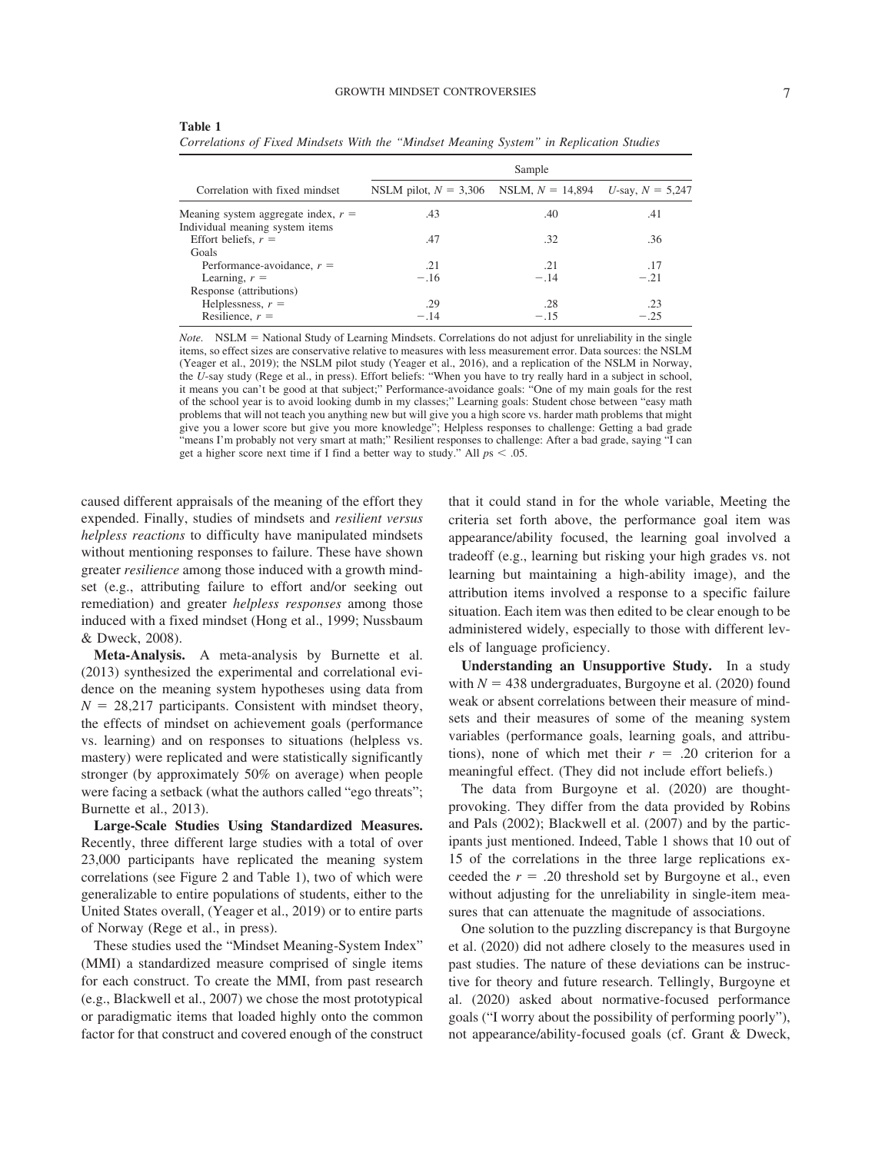#### GROWTH MINDSET CONTROVERSIES 7

| Sample                  |                    |                    |
|-------------------------|--------------------|--------------------|
| NSLM pilot, $N = 3,306$ | NSLM, $N = 14,894$ | U-say, $N = 5,247$ |
| .43                     | .40                | .41                |
|                         |                    |                    |
| .47                     | .32                | .36                |
|                         |                    |                    |
| .21                     | .21                | .17                |
| $-.16$                  | $-.14$             | $-.21$             |
|                         |                    |                    |
| .29                     | .28                | .23                |
| $-.14$                  | $-.15$             | $-.25$             |
|                         |                    |                    |

<span id="page-6-0"></span>**Table 1**

*Correlations of Fixed Mindsets With the "Mindset Meaning System" in Replication Studies*

*Note.* NSLM = National Study of Learning Mindsets. Correlations do not adjust for unreliability in the single items, so effect sizes are conservative relative to measures with less measurement error. Data sources: the NSLM [\(Yeager et al., 2019\)](#page-15-7); the NSLM pilot study [\(Yeager et al., 2016\)](#page-15-6), and a replication of the NSLM in Norway, the *U*-say study [\(Rege et al., in press\)](#page-14-0). Effort beliefs: "When you have to try really hard in a subject in school, it means you can't be good at that subject;" Performance-avoidance goals: "One of my main goals for the rest of the school year is to avoid looking dumb in my classes;" Learning goals: Student chose between "easy math problems that will not teach you anything new but will give you a high score vs. harder math problems that might give you a lower score but give you more knowledge"; Helpless responses to challenge: Getting a bad grade "means I'm probably not very smart at math;" Resilient responses to challenge: After a bad grade, saying "I can get a higher score next time if I find a better way to study." All  $ps < .05$ .

caused different appraisals of the meaning of the effort they expended. Finally, studies of mindsets and *resilient versus helpless reactions* to difficulty have manipulated mindsets without mentioning responses to failure. These have shown greater *resilience* among those induced with a growth mindset (e.g., attributing failure to effort and/or seeking out remediation) and greater *helpless responses* among those induced with a fixed mindset [\(Hong et al., 1999;](#page-13-24) [Nussbaum](#page-14-22) [& Dweck, 2008\)](#page-14-22).

**Meta-Analysis.** A meta-analysis by [Burnette et al.](#page-13-6) [\(2013\)](#page-13-6) synthesized the experimental and correlational evidence on the meaning system hypotheses using data from  $N = 28,217$  participants. Consistent with mindset theory, the effects of mindset on achievement goals (performance vs. learning) and on responses to situations (helpless vs. mastery) were replicated and were statistically significantly stronger (by approximately 50% on average) when people were facing a setback (what the authors called "ego threats"; [Burnette et al., 2013\)](#page-13-6).

**Large-Scale Studies Using Standardized Measures.** Recently, three different large studies with a total of over 23,000 participants have replicated the meaning system correlations (see [Figure 2](#page-7-0) and [Table 1\)](#page-6-0), two of which were generalizable to entire populations of students, either to the United States overall, [\(Yeager et al., 2019\)](#page-15-7) or to entire parts of Norway [\(Rege et al., in press\)](#page-14-0).

These studies used the "Mindset Meaning-System Index" (MMI) a standardized measure comprised of single items for each construct. To create the MMI, from past research (e.g., [Blackwell et al., 2007\)](#page-13-5) we chose the most prototypical or paradigmatic items that loaded highly onto the common factor for that construct and covered enough of the construct that it could stand in for the whole variable, Meeting the criteria set forth above, the performance goal item was appearance/ability focused, the learning goal involved a tradeoff (e.g., learning but risking your high grades vs. not learning but maintaining a high-ability image), and the attribution items involved a response to a specific failure situation. Each item was then edited to be clear enough to be administered widely, especially to those with different levels of language proficiency.

**Understanding an Unsupportive Study.** In a study with  $N = 438$  undergraduates, [Burgoyne et al. \(2020\)](#page-13-7) found weak or absent correlations between their measure of mindsets and their measures of some of the meaning system variables (performance goals, learning goals, and attributions), none of which met their  $r = .20$  criterion for a meaningful effect. (They did not include effort beliefs.)

The data from [Burgoyne et al. \(2020\)](#page-13-7) are thoughtprovoking. They differ from the data provided by [Robins](#page-14-20) [and Pals \(2002\);](#page-14-20) [Blackwell et al. \(2007\)](#page-13-5) and by the participants just mentioned. Indeed, [Table 1](#page-6-0) shows that 10 out of 15 of the correlations in the three large replications exceeded the  $r = .20$  threshold set by Burgoyne et al., even without adjusting for the unreliability in single-item measures that can attenuate the magnitude of associations.

One solution to the puzzling discrepancy is that [Burgoyne](#page-13-7) [et al. \(2020\)](#page-13-7) did not adhere closely to the measures used in past studies. The nature of these deviations can be instructive for theory and future research. Tellingly, [Burgoyne et](#page-13-7) [al. \(2020\)](#page-13-7) asked about normative-focused performance goals ("I worry about the possibility of performing poorly"), not appearance/ability-focused goals (cf. [Grant & Dweck,](#page-13-16)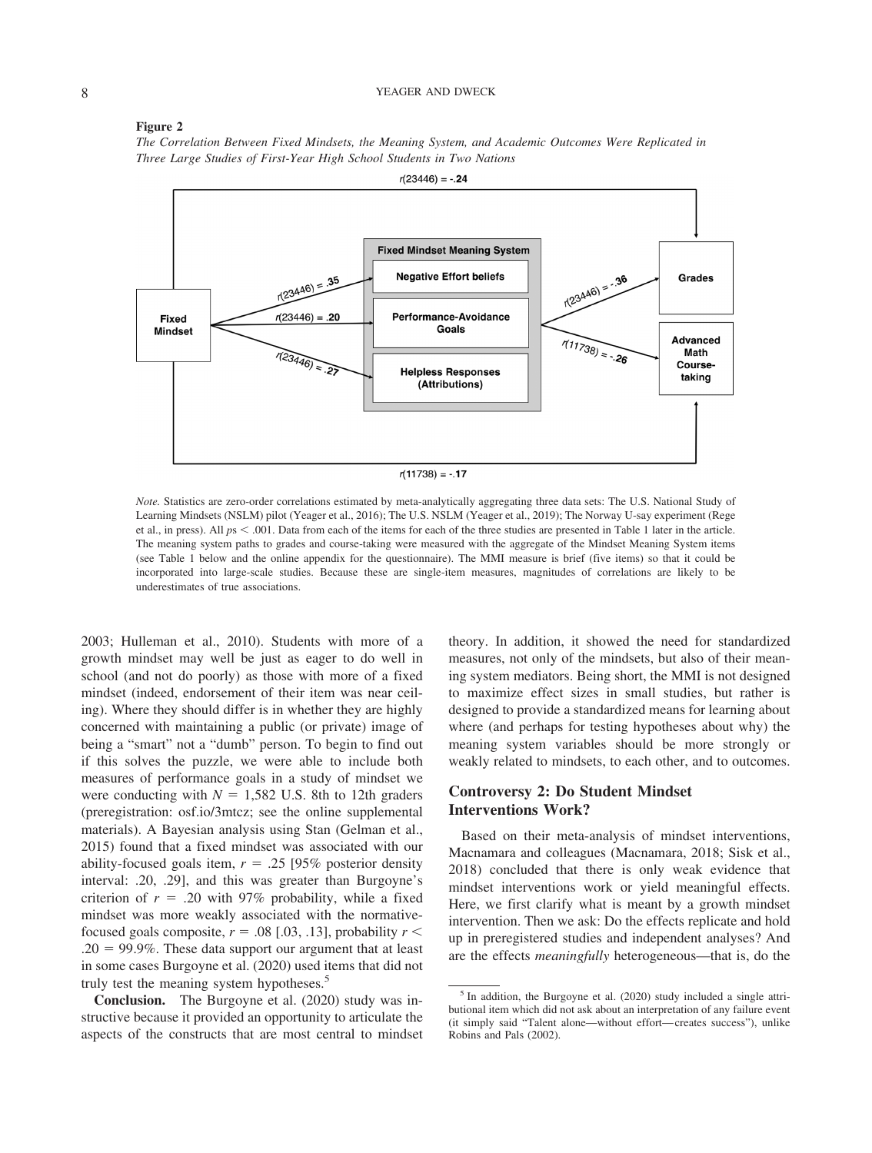#### 8 YEAGER AND DWECK

#### <span id="page-7-0"></span>**Figure 2**

*The Correlation Between Fixed Mindsets, the Meaning System, and Academic Outcomes Were Replicated in Three Large Studies of First-Year High School Students in Two Nations*



*Note.* Statistics are zero-order correlations estimated by meta-analytically aggregating three data sets: The U.S. National Study of Learning Mindsets (NSLM) pilot [\(Yeager et al., 2016\)](#page-15-6); The U.S. NSLM [\(Yeager et al., 2019\)](#page-15-7); The Norway U-say experiment [\(Rege](#page-14-0) [et al., in press\)](#page-14-0). All  $ps < .001$ . Data from each of the items for each of the three studies are presented in [Table 1](#page-6-0) later in the article. The meaning system paths to grades and course-taking were measured with the aggregate of the Mindset Meaning System items (see [Table 1](#page-6-0) below and the online appendix for the questionnaire). The MMI measure is brief (five items) so that it could be incorporated into large-scale studies. Because these are single-item measures, magnitudes of correlations are likely to be underestimates of true associations.

[2003;](#page-13-16) [Hulleman et al., 2010\)](#page-13-22). Students with more of a growth mindset may well be just as eager to do well in school (and not do poorly) as those with more of a fixed mindset (indeed, endorsement of their item was near ceiling). Where they should differ is in whether they are highly concerned with maintaining a public (or private) image of being a "smart" not a "dumb" person. To begin to find out if this solves the puzzle, we were able to include both measures of performance goals in a study of mindset we were conducting with  $N = 1,582$  U.S. 8th to 12th graders (preregistration: osf.io/3mtcz; see the [online supplemental](http://dx.doi.org/10.1037/amp0000794.supp) [materials\)](http://dx.doi.org/10.1037/amp0000794.supp). A Bayesian analysis using Stan [\(Gelman et al.,](#page-13-25) [2015\)](#page-13-25) found that a fixed mindset was associated with our ability-focused goals item,  $r = .25$  [95% posterior density interval: .20, .29], and this was greater than Burgoyne's criterion of  $r = .20$  with 97% probability, while a fixed mindset was more weakly associated with the normativefocused goals composite,  $r = .08$  [.03, .13], probability  $r <$  $.20 = 99.9\%$ . These data support our argument that at least in some cases [Burgoyne et al. \(2020\)](#page-13-7) used items that did not truly test the meaning system hypotheses.<sup>5</sup>

**Conclusion.** The [Burgoyne et al. \(2020\)](#page-13-7) study was instructive because it provided an opportunity to articulate the aspects of the constructs that are most central to mindset theory. In addition, it showed the need for standardized measures, not only of the mindsets, but also of their meaning system mediators. Being short, the MMI is not designed to maximize effect sizes in small studies, but rather is designed to provide a standardized means for learning about where (and perhaps for testing hypotheses about why) the meaning system variables should be more strongly or weakly related to mindsets, to each other, and to outcomes.

# **Controversy 2: Do Student Mindset Interventions Work?**

Based on their meta-analysis of mindset interventions, Macnamara and colleagues [\(Macnamara, 2018;](#page-14-5) [Sisk et al.,](#page-14-7) [2018\)](#page-14-7) concluded that there is only weak evidence that mindset interventions work or yield meaningful effects. Here, we first clarify what is meant by a growth mindset intervention. Then we ask: Do the effects replicate and hold up in preregistered studies and independent analyses? And are the effects *meaningfully* heterogeneous—that is, do the

 $<sup>5</sup>$  In addition, the [Burgoyne et al. \(2020\)](#page-13-7) study included a single attri-</sup> butional item which did not ask about an interpretation of any failure event (it simply said "Talent alone—without effort— creates success"), unlike [Robins and Pals \(2002\).](#page-14-20)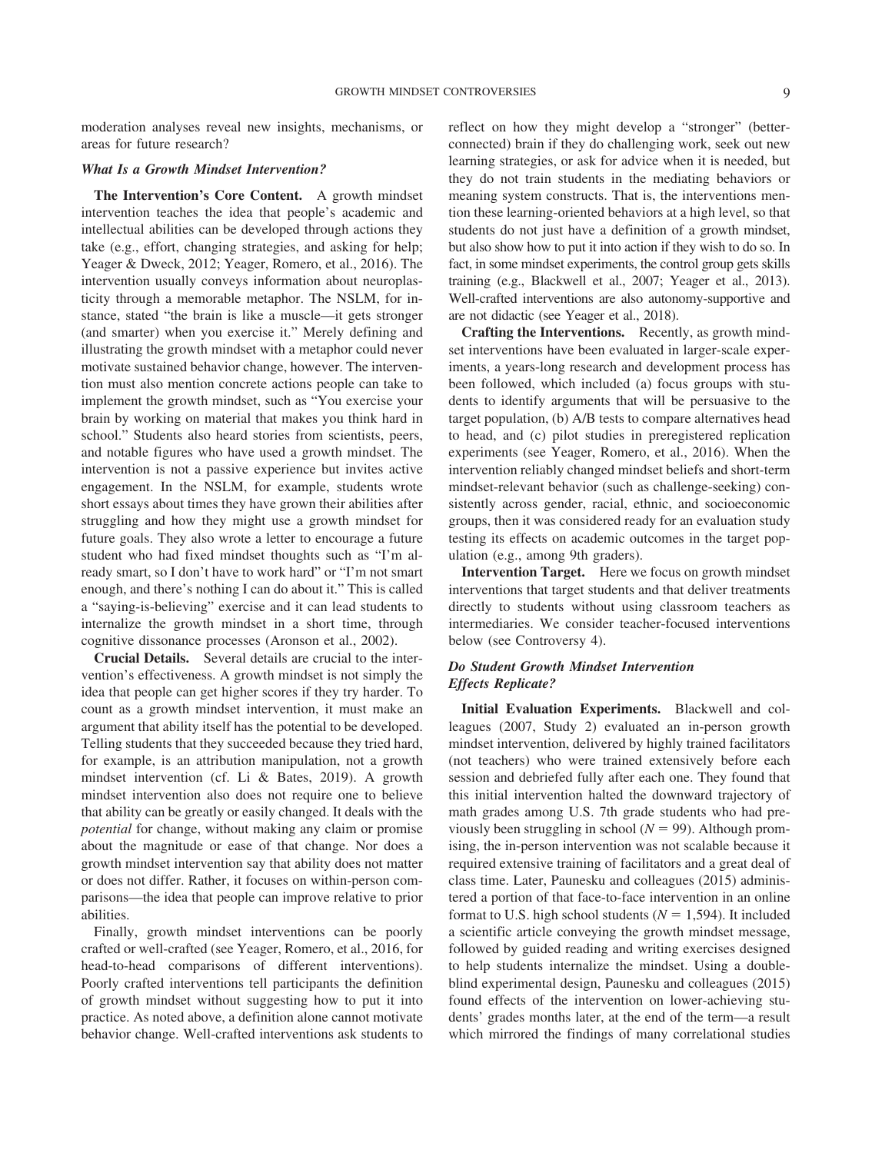moderation analyses reveal new insights, mechanisms, or areas for future research?

# *What Is a Growth Mindset Intervention?*

**The Intervention's Core Content.** A growth mindset intervention teaches the idea that people's academic and intellectual abilities can be developed through actions they take (e.g., effort, changing strategies, and asking for help; [Yeager & Dweck, 2012;](#page-15-0) [Yeager, Romero, et al., 2016\)](#page-15-6). The intervention usually conveys information about neuroplasticity through a memorable metaphor. The NSLM, for instance, stated "the brain is like a muscle—it gets stronger (and smarter) when you exercise it." Merely defining and illustrating the growth mindset with a metaphor could never motivate sustained behavior change, however. The intervention must also mention concrete actions people can take to implement the growth mindset, such as "You exercise your brain by working on material that makes you think hard in school." Students also heard stories from scientists, peers, and notable figures who have used a growth mindset. The intervention is not a passive experience but invites active engagement. In the NSLM, for example, students wrote short essays about times they have grown their abilities after struggling and how they might use a growth mindset for future goals. They also wrote a letter to encourage a future student who had fixed mindset thoughts such as "I'm already smart, so I don't have to work hard" or "I'm not smart enough, and there's nothing I can do about it." This is called a "saying-is-believing" exercise and it can lead students to internalize the growth mindset in a short time, through cognitive dissonance processes [\(Aronson et al., 2002\)](#page-13-26).

**Crucial Details.** Several details are crucial to the intervention's effectiveness. A growth mindset is not simply the idea that people can get higher scores if they try harder. To count as a growth mindset intervention, it must make an argument that ability itself has the potential to be developed. Telling students that they succeeded because they tried hard, for example, is an attribution manipulation, not a growth mindset intervention (cf. [Li & Bates, 2019\)](#page-14-4). A growth mindset intervention also does not require one to believe that ability can be greatly or easily changed. It deals with the *potential* for change, without making any claim or promise about the magnitude or ease of that change. Nor does a growth mindset intervention say that ability does not matter or does not differ. Rather, it focuses on within-person comparisons—the idea that people can improve relative to prior abilities.

Finally, growth mindset interventions can be poorly crafted or well-crafted (see [Yeager, Romero, et al., 2016,](#page-15-6) for head-to-head comparisons of different interventions). Poorly crafted interventions tell participants the definition of growth mindset without suggesting how to put it into practice. As noted above, a definition alone cannot motivate behavior change. Well-crafted interventions ask students to reflect on how they might develop a "stronger" (betterconnected) brain if they do challenging work, seek out new learning strategies, or ask for advice when it is needed, but they do not train students in the mediating behaviors or meaning system constructs. That is, the interventions mention these learning-oriented behaviors at a high level, so that students do not just have a definition of a growth mindset, but also show how to put it into action if they wish to do so. In fact, in some mindset experiments, the control group gets skills training (e.g., [Blackwell et al., 2007;](#page-13-5) [Yeager et al., 2013\)](#page-15-9). Well-crafted interventions are also autonomy-supportive and are not didactic (see [Yeager et al., 2018\)](#page-15-10).

**Crafting the Interventions.** Recently, as growth mindset interventions have been evaluated in larger-scale experiments, a years-long research and development process has been followed, which included (a) focus groups with students to identify arguments that will be persuasive to the target population, (b) A/B tests to compare alternatives head to head, and (c) pilot studies in preregistered replication experiments (see [Yeager, Romero, et al., 2016\)](#page-15-6). When the intervention reliably changed mindset beliefs and short-term mindset-relevant behavior (such as challenge-seeking) consistently across gender, racial, ethnic, and socioeconomic groups, then it was considered ready for an evaluation study testing its effects on academic outcomes in the target population (e.g., among 9th graders).

**Intervention Target.** Here we focus on growth mindset interventions that target students and that deliver treatments directly to students without using classroom teachers as intermediaries. We consider teacher-focused interventions below (see Controversy 4).

# *Do Student Growth Mindset Intervention Effects Replicate?*

**Initial Evaluation Experiments.** [Blackwell and col](#page-13-5)[leagues \(2007,](#page-13-5) Study 2) evaluated an in-person growth mindset intervention, delivered by highly trained facilitators (not teachers) who were trained extensively before each session and debriefed fully after each one. They found that this initial intervention halted the downward trajectory of math grades among U.S. 7th grade students who had previously been struggling in school ( $N = 99$ ). Although promising, the in-person intervention was not scalable because it required extensive training of facilitators and a great deal of class time. Later, [Paunesku and colleagues \(2015\)](#page-14-23) administered a portion of that face-to-face intervention in an online format to U.S. high school students ( $N = 1,594$ ). It included a scientific article conveying the growth mindset message, followed by guided reading and writing exercises designed to help students internalize the mindset. Using a doubleblind experimental design, [Paunesku and colleagues \(2015\)](#page-14-23) found effects of the intervention on lower-achieving students' grades months later, at the end of the term—a result which mirrored the findings of many correlational studies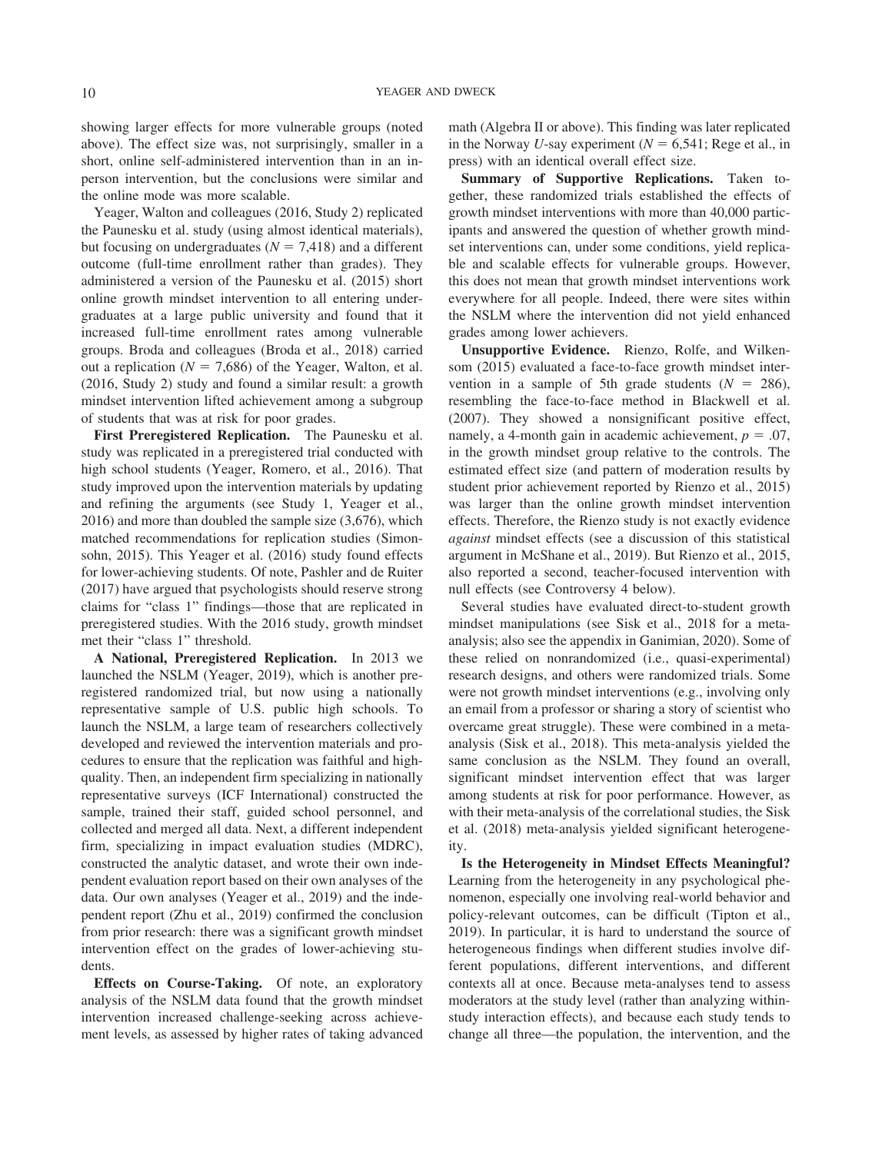showing larger effects for more vulnerable groups (noted above). The effect size was, not surprisingly, smaller in a short, online self-administered intervention than in an inperson intervention, but the conclusions were similar and the online mode was more scalable.

[Yeager, Walton and colleagues \(2016,](#page-15-11) Study 2) replicated the Paunesku et al. study (using almost identical materials), but focusing on undergraduates  $(N = 7,418)$  and a different outcome (full-time enrollment rather than grades). They administered a version of the [Paunesku et al. \(2015\)](#page-14-23) short online growth mindset intervention to all entering undergraduates at a large public university and found that it increased full-time enrollment rates among vulnerable groups. Broda and colleagues [\(Broda et al., 2018\)](#page-13-27) carried out a replication ( $N = 7,686$ ) of the [Yeager, Walton, et al.](#page-15-11) [\(2016,](#page-15-11) Study 2) study and found a similar result: a growth mindset intervention lifted achievement among a subgroup of students that was at risk for poor grades.

**First Preregistered Replication.** The Paunesku et al. study was replicated in a preregistered trial conducted with high school students [\(Yeager, Romero, et al., 2016\)](#page-15-6). That study improved upon the intervention materials by updating and refining the arguments (see Study 1, [Yeager et al.,](#page-15-6) [2016\)](#page-15-6) and more than doubled the sample size (3,676), which matched recommendations for replication studies [\(Simon](#page-14-24)[sohn, 2015\)](#page-14-24). This [Yeager et al. \(2016\)](#page-15-6) study found effects for lower-achieving students. Of note, [Pashler and de Ruiter](#page-14-25) [\(2017\)](#page-14-25) have argued that psychologists should reserve strong claims for "class 1" findings—those that are replicated in preregistered studies. With the 2016 study, growth mindset met their "class 1" threshold.

**A National, Preregistered Replication.** In 2013 we launched the NSLM [\(Yeager, 2019\)](#page-15-1), which is another preregistered randomized trial, but now using a nationally representative sample of U.S. public high schools. To launch the NSLM, a large team of researchers collectively developed and reviewed the intervention materials and procedures to ensure that the replication was faithful and highquality. Then, an independent firm specializing in nationally representative surveys (ICF International) constructed the sample, trained their staff, guided school personnel, and collected and merged all data. Next, a different independent firm, specializing in impact evaluation studies (MDRC), constructed the analytic dataset, and wrote their own independent evaluation report based on their own analyses of the data. Our own analyses [\(Yeager et al., 2019\)](#page-15-7) and the independent report [\(Zhu et al., 2019\)](#page-15-3) confirmed the conclusion from prior research: there was a significant growth mindset intervention effect on the grades of lower-achieving students.

**Effects on Course-Taking.** Of note, an exploratory analysis of the NSLM data found that the growth mindset intervention increased challenge-seeking across achievement levels, as assessed by higher rates of taking advanced math (Algebra II or above). This finding was later replicated in the Norway *U*-say experiment ( $N = 6,541$ ; [Rege et al., in](#page-14-0) [press\)](#page-14-0) with an identical overall effect size.

**Summary of Supportive Replications.** Taken together, these randomized trials established the effects of growth mindset interventions with more than 40,000 participants and answered the question of whether growth mindset interventions can, under some conditions, yield replicable and scalable effects for vulnerable groups. However, this does not mean that growth mindset interventions work everywhere for all people. Indeed, there were sites within the NSLM where the intervention did not yield enhanced grades among lower achievers.

**Unsupportive Evidence.** [Rienzo, Rolfe, and Wilken](#page-14-14)[som \(2015\)](#page-14-14) evaluated a face-to-face growth mindset intervention in a sample of 5th grade students  $(N = 286)$ , resembling the face-to-face method in [Blackwell et al.](#page-13-5) [\(2007\).](#page-13-5) They showed a nonsignificant positive effect, namely, a 4-month gain in academic achievement,  $p = .07$ , in the growth mindset group relative to the controls. The estimated effect size (and pattern of moderation results by student prior achievement reported by [Rienzo et al., 2015\)](#page-14-14) was larger than the online growth mindset intervention effects. Therefore, the Rienzo study is not exactly evidence *against* mindset effects (see a discussion of this statistical argument in [McShane et al., 2019\)](#page-14-26). But [Rienzo et al., 2015,](#page-14-14) also reported a second, teacher-focused intervention with null effects (see Controversy 4 below).

Several studies have evaluated direct-to-student growth mindset manipulations (see [Sisk et al., 2018](#page-14-7) for a metaanalysis; also see the appendix in [Ganimian, 2020\)](#page-13-28). Some of these relied on nonrandomized (i.e., quasi-experimental) research designs, and others were randomized trials. Some were not growth mindset interventions (e.g., involving only an email from a professor or sharing a story of scientist who overcame great struggle). These were combined in a metaanalysis [\(Sisk et al., 2018\)](#page-14-7). This meta-analysis yielded the same conclusion as the NSLM. They found an overall, significant mindset intervention effect that was larger among students at risk for poor performance. However, as with their meta-analysis of the correlational studies, the [Sisk](#page-14-7) [et al. \(2018\)](#page-14-7) meta-analysis yielded significant heterogeneity.

**Is the Heterogeneity in Mindset Effects Meaningful?** Learning from the heterogeneity in any psychological phenomenon, especially one involving real-world behavior and policy-relevant outcomes, can be difficult [\(Tipton et al.,](#page-14-3) [2019\)](#page-14-3). In particular, it is hard to understand the source of heterogeneous findings when different studies involve different populations, different interventions, and different contexts all at once. Because meta-analyses tend to assess moderators at the study level (rather than analyzing withinstudy interaction effects), and because each study tends to change all three—the population, the intervention, and the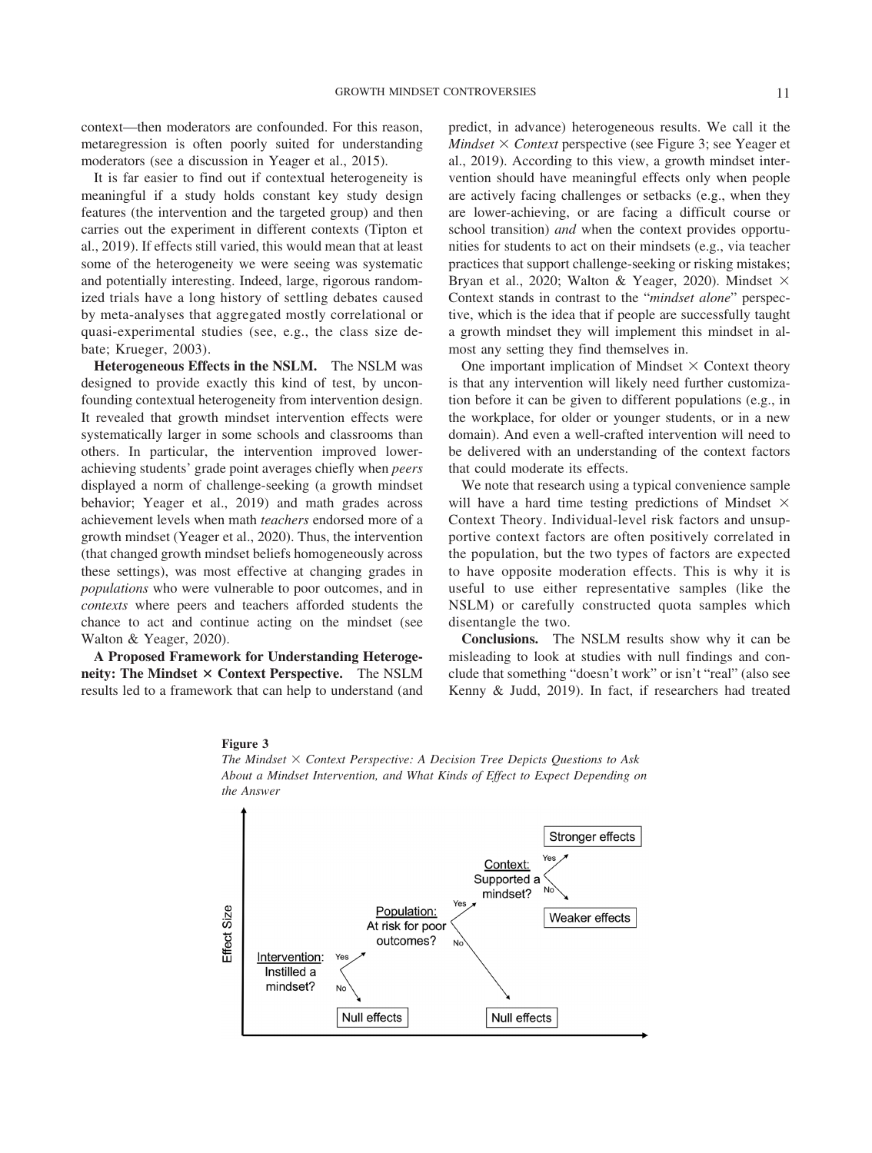context—then moderators are confounded. For this reason, metaregression is often poorly suited for understanding moderators (see a discussion in [Yeager et al., 2015\)](#page-15-12).

It is far easier to find out if contextual heterogeneity is meaningful if a study holds constant key study design features (the intervention and the targeted group) and then carries out the experiment in different contexts [\(Tipton et](#page-14-3) [al., 2019\)](#page-14-3). If effects still varied, this would mean that at least some of the heterogeneity we were seeing was systematic and potentially interesting. Indeed, large, rigorous randomized trials have a long history of settling debates caused by meta-analyses that aggregated mostly correlational or quasi-experimental studies (see, e.g., the class size debate; [Krueger, 2003\)](#page-14-27).

**Heterogeneous Effects in the NSLM.** The NSLM was designed to provide exactly this kind of test, by unconfounding contextual heterogeneity from intervention design. It revealed that growth mindset intervention effects were systematically larger in some schools and classrooms than others. In particular, the intervention improved lowerachieving students' grade point averages chiefly when *peers* displayed a norm of challenge-seeking (a growth mindset behavior; [Yeager et al., 2019\)](#page-15-7) and math grades across achievement levels when math *teachers* endorsed more of a growth mindset [\(Yeager et al., 2020\)](#page-15-13). Thus, the intervention (that changed growth mindset beliefs homogeneously across these settings), was most effective at changing grades in *populations* who were vulnerable to poor outcomes, and in *contexts* where peers and teachers afforded students the chance to act and continue acting on the mindset (see [Walton & Yeager, 2020\)](#page-14-28).

**A Proposed Framework for Understanding Heterogeneity: The Mindset**  $\times$  **Context Perspective.** The NSLM results led to a framework that can help to understand (and predict, in advance) heterogeneous results. We call it the *Mindset*  $\times$  *Context* perspective (see [Figure 3;](#page-10-0) see [Yeager et](#page-15-7) [al., 2019\)](#page-15-7). According to this view, a growth mindset intervention should have meaningful effects only when people are actively facing challenges or setbacks (e.g., when they are lower-achieving, or are facing a difficult course or school transition) *and* when the context provides opportunities for students to act on their mindsets (e.g., via teacher practices that support challenge-seeking or risking mistakes; [Bryan et al., 2020;](#page-13-8) [Walton & Yeager, 2020\)](#page-14-28). Mindset  $\times$ Context stands in contrast to the "*mindset alone*" perspective, which is the idea that if people are successfully taught a growth mindset they will implement this mindset in almost any setting they find themselves in.

One important implication of Mindset  $\times$  Context theory is that any intervention will likely need further customization before it can be given to different populations (e.g., in the workplace, for older or younger students, or in a new domain). And even a well-crafted intervention will need to be delivered with an understanding of the context factors that could moderate its effects.

We note that research using a typical convenience sample will have a hard time testing predictions of Mindset  $\times$ Context Theory. Individual-level risk factors and unsupportive context factors are often positively correlated in the population, but the two types of factors are expected to have opposite moderation effects. This is why it is useful to use either representative samples (like the NSLM) or carefully constructed quota samples which disentangle the two.

**Conclusions.** The NSLM results show why it can be misleading to look at studies with null findings and conclude that something "doesn't work" or isn't "real" (also see [Kenny & Judd, 2019\)](#page-13-4). In fact, if researchers had treated



*About a Mindset Intervention, and What Kinds of Effect to Expect Depending on*

## <span id="page-10-0"></span>**Figure 3** *The Mindset Context Perspective: A Decision Tree Depicts Questions to Ask*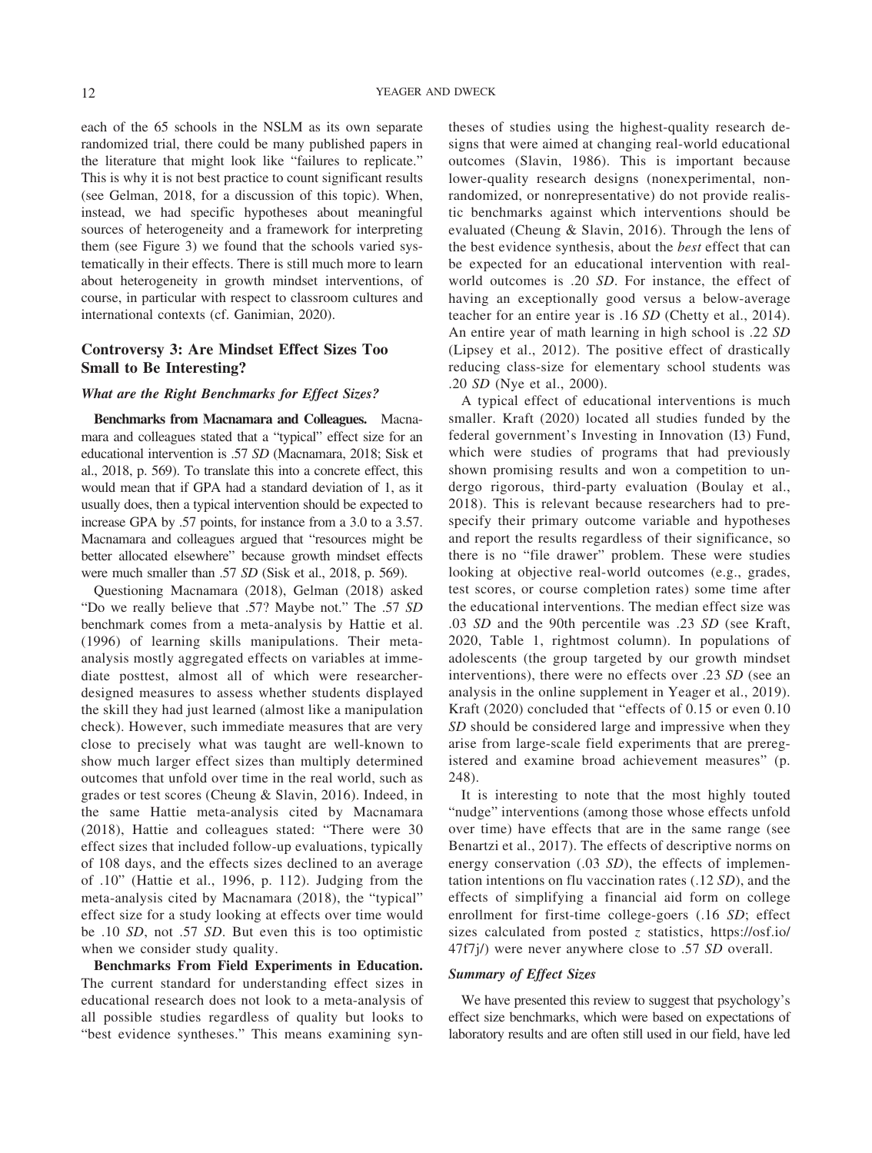each of the 65 schools in the NSLM as its own separate randomized trial, there could be many published papers in the literature that might look like "failures to replicate." This is why it is not best practice to count significant results (see [Gelman, 2018,](#page-13-9) for a discussion of this topic). When, instead, we had specific hypotheses about meaningful sources of heterogeneity and a framework for interpreting them (see [Figure 3\)](#page-10-0) we found that the schools varied systematically in their effects. There is still much more to learn about heterogeneity in growth mindset interventions, of course, in particular with respect to classroom cultures and international contexts (cf. [Ganimian, 2020\)](#page-13-28).

# **Controversy 3: Are Mindset Effect Sizes Too Small to Be Interesting?**

## *What are the Right Benchmarks for Effect Sizes?*

**Benchmarks from Macnamara and Colleagues.** Macnamara and colleagues stated that a "typical" effect size for an educational intervention is .57 *SD* [\(Macnamara, 2018;](#page-14-5) [Sisk et](#page-14-7) [al., 2018,](#page-14-7) p. 569). To translate this into a concrete effect, this would mean that if GPA had a standard deviation of 1, as it usually does, then a typical intervention should be expected to increase GPA by .57 points, for instance from a 3.0 to a 3.57. Macnamara and colleagues argued that "resources might be better allocated elsewhere" because growth mindset effects were much smaller than .57 *SD* [\(Sisk et al., 2018,](#page-14-7) p. 569).

Questioning [Macnamara \(2018\),](#page-14-5) [Gelman \(2018\)](#page-13-9) asked "Do we really believe that .57? Maybe not." The .57 *SD* benchmark comes from a meta-analysis by [Hattie et al.](#page-13-29) [\(1996\)](#page-13-29) of learning skills manipulations. Their metaanalysis mostly aggregated effects on variables at immediate posttest, almost all of which were researcherdesigned measures to assess whether students displayed the skill they had just learned (almost like a manipulation check). However, such immediate measures that are very close to precisely what was taught are well-known to show much larger effect sizes than multiply determined outcomes that unfold over time in the real world, such as grades or test scores [\(Cheung & Slavin, 2016\)](#page-13-30). Indeed, in the same Hattie meta-analysis cited by [Macnamara](#page-14-5) [\(2018\),](#page-14-5) Hattie and colleagues stated: "There were 30 effect sizes that included follow-up evaluations, typically of 108 days, and the effects sizes declined to an average of .10" [\(Hattie et al., 1996,](#page-13-29) p. 112). Judging from the meta-analysis cited by [Macnamara \(2018\),](#page-14-5) the "typical" effect size for a study looking at effects over time would be .10 *SD*, not .57 *SD*. But even this is too optimistic when we consider study quality.

**Benchmarks From Field Experiments in Education.** The current standard for understanding effect sizes in educational research does not look to a meta-analysis of all possible studies regardless of quality but looks to "best evidence syntheses." This means examining syntheses of studies using the highest-quality research designs that were aimed at changing real-world educational outcomes [\(Slavin, 1986\)](#page-14-29). This is important because lower-quality research designs (nonexperimental, nonrandomized, or nonrepresentative) do not provide realistic benchmarks against which interventions should be evaluated [\(Cheung & Slavin, 2016\)](#page-13-30). Through the lens of the best evidence synthesis, about the *best* effect that can be expected for an educational intervention with realworld outcomes is .20 *SD*. For instance, the effect of having an exceptionally good versus a below-average teacher for an entire year is .16 *SD* [\(Chetty et al., 2014\)](#page-13-31). An entire year of math learning in high school is .22 *SD* [\(Lipsey et al., 2012\)](#page-14-30). The positive effect of drastically reducing class-size for elementary school students was .20 *SD* [\(Nye et al., 2000\)](#page-14-31).

A typical effect of educational interventions is much smaller. [Kraft \(2020\)](#page-13-10) located all studies funded by the federal government's Investing in Innovation (I3) Fund, which were studies of programs that had previously shown promising results and won a competition to undergo rigorous, third-party evaluation [\(Boulay et al.,](#page-13-32) [2018\)](#page-13-32). This is relevant because researchers had to prespecify their primary outcome variable and hypotheses and report the results regardless of their significance, so there is no "file drawer" problem. These were studies looking at objective real-world outcomes (e.g., grades, test scores, or course completion rates) some time after the educational interventions. The median effect size was .03 *SD* and the 90th percentile was .23 *SD* (see [Kraft,](#page-13-10) [2020,](#page-13-10) [Table 1,](#page-6-0) rightmost column). In populations of adolescents (the group targeted by our growth mindset interventions), there were no effects over .23 *SD* (see an analysis in the online supplement in [Yeager et al., 2019\)](#page-15-7). [Kraft \(2020\)](#page-13-10) concluded that "effects of 0.15 or even 0.10 *SD* should be considered large and impressive when they arise from large-scale field experiments that are preregistered and examine broad achievement measures" (p. 248).

It is interesting to note that the most highly touted "nudge" interventions (among those whose effects unfold over time) have effects that are in the same range (see [Benartzi et al., 2017\)](#page-13-33). The effects of descriptive norms on energy conservation (.03 *SD*), the effects of implementation intentions on flu vaccination rates (.12 *SD*), and the effects of simplifying a financial aid form on college enrollment for first-time college-goers (.16 *SD*; effect sizes calculated from posted *z* statistics, [https://osf.io/](https://osf.io/47f7j/) [47f7j/\)](https://osf.io/47f7j/) were never anywhere close to .57 *SD* overall.

## *Summary of Effect Sizes*

We have presented this review to suggest that psychology's effect size benchmarks, which were based on expectations of laboratory results and are often still used in our field, have led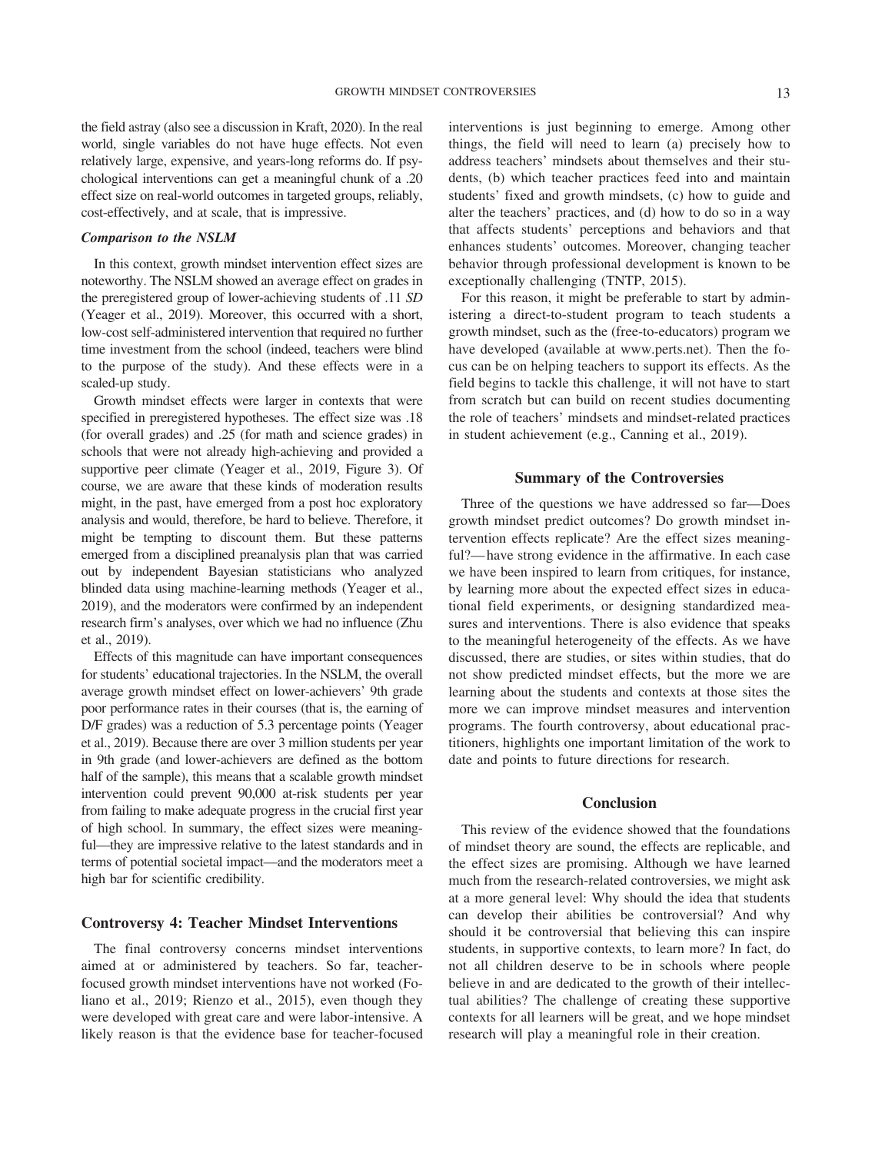the field astray (also see a discussion in [Kraft, 2020\)](#page-13-10). In the real world, single variables do not have huge effects. Not even relatively large, expensive, and years-long reforms do. If psychological interventions can get a meaningful chunk of a .20 effect size on real-world outcomes in targeted groups, reliably, cost-effectively, and at scale, that is impressive.

## *Comparison to the NSLM*

In this context, growth mindset intervention effect sizes are noteworthy. The NSLM showed an average effect on grades in the preregistered group of lower-achieving students of .11 *SD* [\(Yeager et al., 2019\)](#page-15-7). Moreover, this occurred with a short, low-cost self-administered intervention that required no further time investment from the school (indeed, teachers were blind to the purpose of the study). And these effects were in a scaled-up study.

Growth mindset effects were larger in contexts that were specified in preregistered hypotheses. The effect size was .18 (for overall grades) and .25 (for math and science grades) in schools that were not already high-achieving and provided a supportive peer climate [\(Yeager et al., 2019,](#page-15-7) [Figure 3\)](#page-10-0). Of course, we are aware that these kinds of moderation results might, in the past, have emerged from a post hoc exploratory analysis and would, therefore, be hard to believe. Therefore, it might be tempting to discount them. But these patterns emerged from a disciplined preanalysis plan that was carried out by independent Bayesian statisticians who analyzed blinded data using machine-learning methods [\(Yeager et al.,](#page-15-7) [2019\)](#page-15-7), and the moderators were confirmed by an independent research firm's analyses, over which we had no influence [\(Zhu](#page-15-3) [et al., 2019\)](#page-15-3).

Effects of this magnitude can have important consequences for students' educational trajectories. In the NSLM, the overall average growth mindset effect on lower-achievers' 9th grade poor performance rates in their courses (that is, the earning of D/F grades) was a reduction of 5.3 percentage points [\(Yeager](#page-15-7) [et al., 2019\)](#page-15-7). Because there are over 3 million students per year in 9th grade (and lower-achievers are defined as the bottom half of the sample), this means that a scalable growth mindset intervention could prevent 90,000 at-risk students per year from failing to make adequate progress in the crucial first year of high school. In summary, the effect sizes were meaningful—they are impressive relative to the latest standards and in terms of potential societal impact—and the moderators meet a high bar for scientific credibility.

## **Controversy 4: Teacher Mindset Interventions**

The final controversy concerns mindset interventions aimed at or administered by teachers. So far, teacherfocused growth mindset interventions have not worked [\(Fo](#page-13-12)[liano et al., 2019;](#page-13-12) [Rienzo et al., 2015\)](#page-14-14), even though they were developed with great care and were labor-intensive. A likely reason is that the evidence base for teacher-focused interventions is just beginning to emerge. Among other things, the field will need to learn (a) precisely how to address teachers' mindsets about themselves and their students, (b) which teacher practices feed into and maintain students' fixed and growth mindsets, (c) how to guide and alter the teachers' practices, and (d) how to do so in a way that affects students' perceptions and behaviors and that enhances students' outcomes. Moreover, changing teacher behavior through professional development is known to be exceptionally challenging [\(TNTP, 2015\)](#page-14-32).

For this reason, it might be preferable to start by administering a direct-to-student program to teach students a growth mindset, such as the (free-to-educators) program we have developed (available at [www.perts.net\)](http://www.perts.net). Then the focus can be on helping teachers to support its effects. As the field begins to tackle this challenge, it will not have to start from scratch but can build on recent studies documenting the role of teachers' mindsets and mindset-related practices in student achievement (e.g., [Canning et al., 2019\)](#page-13-11).

# **Summary of the Controversies**

Three of the questions we have addressed so far—Does growth mindset predict outcomes? Do growth mindset intervention effects replicate? Are the effect sizes meaningful?— have strong evidence in the affirmative. In each case we have been inspired to learn from critiques, for instance, by learning more about the expected effect sizes in educational field experiments, or designing standardized measures and interventions. There is also evidence that speaks to the meaningful heterogeneity of the effects. As we have discussed, there are studies, or sites within studies, that do not show predicted mindset effects, but the more we are learning about the students and contexts at those sites the more we can improve mindset measures and intervention programs. The fourth controversy, about educational practitioners, highlights one important limitation of the work to date and points to future directions for research.

#### **Conclusion**

This review of the evidence showed that the foundations of mindset theory are sound, the effects are replicable, and the effect sizes are promising. Although we have learned much from the research-related controversies, we might ask at a more general level: Why should the idea that students can develop their abilities be controversial? And why should it be controversial that believing this can inspire students, in supportive contexts, to learn more? In fact, do not all children deserve to be in schools where people believe in and are dedicated to the growth of their intellectual abilities? The challenge of creating these supportive contexts for all learners will be great, and we hope mindset research will play a meaningful role in their creation.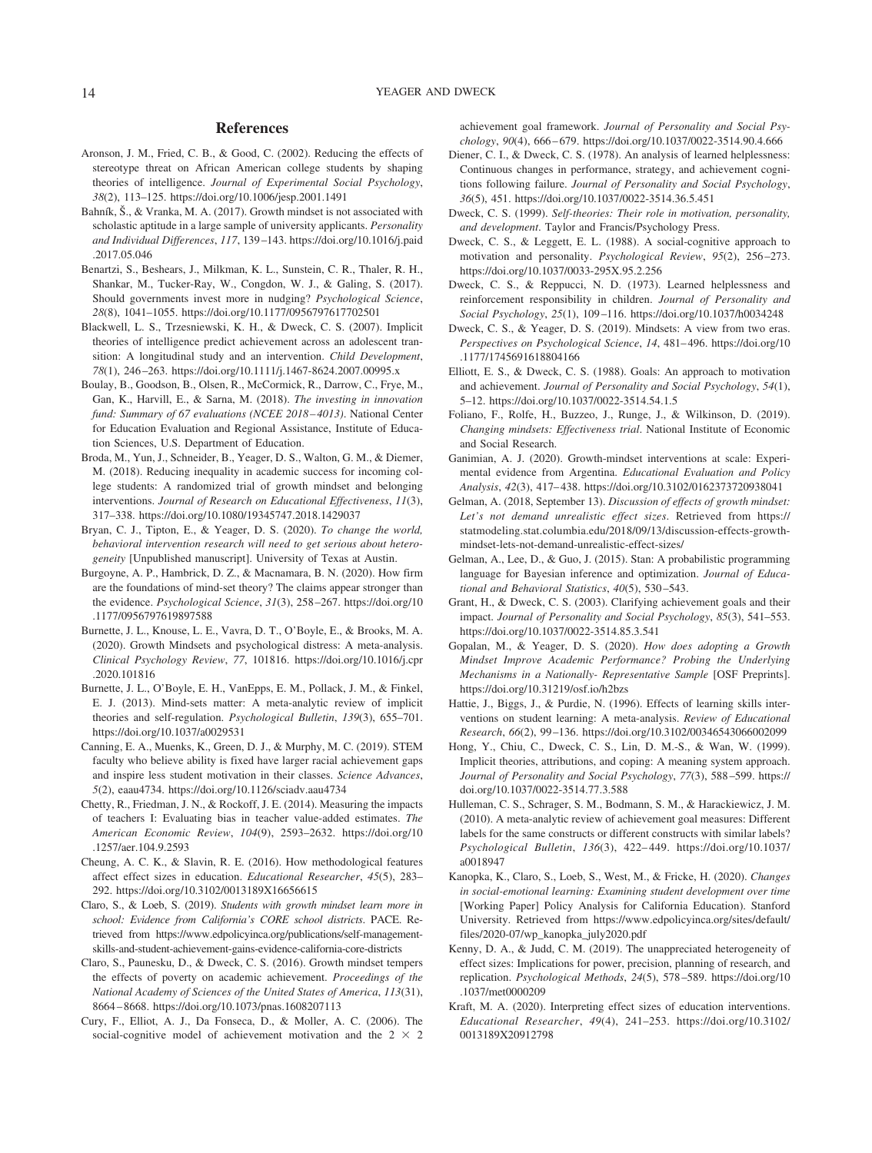### **References**

- <span id="page-13-26"></span>Aronson, J. M., Fried, C. B., & Good, C. (2002). Reducing the effects of stereotype threat on African American college students by shaping theories of intelligence. *Journal of Experimental Social Psychology*, *38*(2), 113–125.<https://doi.org/10.1006/jesp.2001.1491>
- <span id="page-13-20"></span>Bahník, Š., & Vranka, M. A. (2017). Growth mindset is not associated with scholastic aptitude in a large sample of university applicants. *Personality and Individual Differences*, *117*, 139 –143. [https://doi.org/10.1016/j.paid](https://doi.org/10.1016/j.paid.2017.05.046) [.2017.05.046](https://doi.org/10.1016/j.paid.2017.05.046)
- <span id="page-13-33"></span>Benartzi, S., Beshears, J., Milkman, K. L., Sunstein, C. R., Thaler, R. H., Shankar, M., Tucker-Ray, W., Congdon, W. J., & Galing, S. (2017). Should governments invest more in nudging? *Psychological Science*, *28*(8), 1041–1055.<https://doi.org/10.1177/0956797617702501>
- <span id="page-13-5"></span>Blackwell, L. S., Trzesniewski, K. H., & Dweck, C. S. (2007). Implicit theories of intelligence predict achievement across an adolescent transition: A longitudinal study and an intervention. *Child Development*, *78*(1), 246 –263.<https://doi.org/10.1111/j.1467-8624.2007.00995.x>
- <span id="page-13-32"></span>Boulay, B., Goodson, B., Olsen, R., McCormick, R., Darrow, C., Frye, M., Gan, K., Harvill, E., & Sarna, M. (2018). *The investing in innovation fund: Summary of 67 evaluations (NCEE 2018 – 4013)*. National Center for Education Evaluation and Regional Assistance, Institute of Education Sciences, U.S. Department of Education.
- <span id="page-13-27"></span>Broda, M., Yun, J., Schneider, B., Yeager, D. S., Walton, G. M., & Diemer, M. (2018). Reducing inequality in academic success for incoming college students: A randomized trial of growth mindset and belonging interventions. *Journal of Research on Educational Effectiveness*, *11*(3), 317–338.<https://doi.org/10.1080/19345747.2018.1429037>
- <span id="page-13-8"></span>Bryan, C. J., Tipton, E., & Yeager, D. S. (2020). *To change the world, behavioral intervention research will need to get serious about heterogeneity* [Unpublished manuscript]. University of Texas at Austin.
- <span id="page-13-7"></span>Burgoyne, A. P., Hambrick, D. Z., & Macnamara, B. N. (2020). How firm are the foundations of mind-set theory? The claims appear stronger than the evidence. *Psychological Science*, *31*(3), 258 –267. [https://doi.org/10](https://doi.org/10.1177/0956797619897588) [.1177/0956797619897588](https://doi.org/10.1177/0956797619897588)
- <span id="page-13-21"></span>Burnette, J. L., Knouse, L. E., Vavra, D. T., O'Boyle, E., & Brooks, M. A. (2020). Growth Mindsets and psychological distress: A meta-analysis. *Clinical Psychology Review*, *77*, 101816. [https://doi.org/10.1016/j.cpr](https://doi.org/10.1016/j.cpr.2020.101816) [.2020.101816](https://doi.org/10.1016/j.cpr.2020.101816)
- <span id="page-13-6"></span>Burnette, J. L., O'Boyle, E. H., VanEpps, E. M., Pollack, J. M., & Finkel, E. J. (2013). Mind-sets matter: A meta-analytic review of implicit theories and self-regulation. *Psychological Bulletin*, *139*(3), 655–701. <https://doi.org/10.1037/a0029531>
- <span id="page-13-11"></span>Canning, E. A., Muenks, K., Green, D. J., & Murphy, M. C. (2019). STEM faculty who believe ability is fixed have larger racial achievement gaps and inspire less student motivation in their classes. *Science Advances*, *5*(2), eaau4734.<https://doi.org/10.1126/sciadv.aau4734>
- <span id="page-13-31"></span>Chetty, R., Friedman, J. N., & Rockoff, J. E. (2014). Measuring the impacts of teachers I: Evaluating bias in teacher value-added estimates. *The American Economic Review*, *104*(9), 2593–2632. [https://doi.org/10](https://doi.org/10.1257/aer.104.9.2593) [.1257/aer.104.9.2593](https://doi.org/10.1257/aer.104.9.2593)
- <span id="page-13-30"></span>Cheung, A. C. K., & Slavin, R. E. (2016). How methodological features affect effect sizes in education. *Educational Researcher*, *45*(5), 283– 292.<https://doi.org/10.3102/0013189X16656615>
- <span id="page-13-17"></span>Claro, S., & Loeb, S. (2019). *Students with growth mindset learn more in school: Evidence from California's CORE school districts*. PACE. Retrieved from [https://www.edpolicyinca.org/publications/self-management](https://www.edpolicyinca.org/publications/self-management-skills-and-student-achievement-gains-evidence-california-core-districts)[skills-and-student-achievement-gains-evidence-california-core-districts](https://www.edpolicyinca.org/publications/self-management-skills-and-student-achievement-gains-evidence-california-core-districts)
- <span id="page-13-19"></span>Claro, S., Paunesku, D., & Dweck, C. S. (2016). Growth mindset tempers the effects of poverty on academic achievement. *Proceedings of the National Academy of Sciences of the United States of America*, *113*(31), 8664 – 8668.<https://doi.org/10.1073/pnas.1608207113>
- <span id="page-13-23"></span>Cury, F., Elliot, A. J., Da Fonseca, D., & Moller, A. C. (2006). The social-cognitive model of achievement motivation and the  $2 \times 2$

achievement goal framework. *Journal of Personality and Social Psychology*, *90*(4), 666 – 679.<https://doi.org/10.1037/0022-3514.90.4.666>

- <span id="page-13-13"></span>Diener, C. I., & Dweck, C. S. (1978). An analysis of learned helplessness: Continuous changes in performance, strategy, and achievement cognitions following failure. *Journal of Personality and Social Psychology*, *36*(5), 451.<https://doi.org/10.1037/0022-3514.36.5.451>
- <span id="page-13-0"></span>Dweck, C. S. (1999). *Self-theories: Their role in motivation, personality, and development*. Taylor and Francis/Psychology Press.
- <span id="page-13-1"></span>Dweck, C. S., & Leggett, E. L. (1988). A social-cognitive approach to motivation and personality. *Psychological Review*, *95*(2), 256 –273. <https://doi.org/10.1037/0033-295X.95.2.256>
- <span id="page-13-14"></span>Dweck, C. S., & Reppucci, N. D. (1973). Learned helplessness and reinforcement responsibility in children. *Journal of Personality and Social Psychology*, *25*(1), 109 –116.<https://doi.org/10.1037/h0034248>
- <span id="page-13-2"></span>Dweck, C. S., & Yeager, D. S. (2019). Mindsets: A view from two eras. *Perspectives on Psychological Science*, *14*, 481– 496. [https://doi.org/10](https://doi.org/10.1177/1745691618804166) [.1177/1745691618804166](https://doi.org/10.1177/1745691618804166)
- <span id="page-13-15"></span>Elliott, E. S., & Dweck, C. S. (1988). Goals: An approach to motivation and achievement. *Journal of Personality and Social Psychology*, *54*(1), 5–12.<https://doi.org/10.1037/0022-3514.54.1.5>
- <span id="page-13-12"></span>Foliano, F., Rolfe, H., Buzzeo, J., Runge, J., & Wilkinson, D. (2019). *Changing mindsets: Effectiveness trial*. National Institute of Economic and Social Research.
- <span id="page-13-28"></span>Ganimian, A. J. (2020). Growth-mindset interventions at scale: Experimental evidence from Argentina. *Educational Evaluation and Policy Analysis*, *42*(3), 417– 438.<https://doi.org/10.3102/0162373720938041>
- <span id="page-13-9"></span>Gelman, A. (2018, September 13). *Discussion of effects of growth mindset: Let's not demand unrealistic effect sizes*. Retrieved from [https://](https://statmodeling.stat.columbia.edu/2018/09/13/discussion-effects-growth-mindset-lets-not-demand-unrealistic-effect-sizes/) [statmodeling.stat.columbia.edu/2018/09/13/discussion-effects-growth](https://statmodeling.stat.columbia.edu/2018/09/13/discussion-effects-growth-mindset-lets-not-demand-unrealistic-effect-sizes/)[mindset-lets-not-demand-unrealistic-effect-sizes/](https://statmodeling.stat.columbia.edu/2018/09/13/discussion-effects-growth-mindset-lets-not-demand-unrealistic-effect-sizes/)
- <span id="page-13-25"></span>Gelman, A., Lee, D., & Guo, J. (2015). Stan: A probabilistic programming language for Bayesian inference and optimization. *Journal of Educational and Behavioral Statistics*, *40*(5), 530 –543.
- <span id="page-13-16"></span>Grant, H., & Dweck, C. S. (2003). Clarifying achievement goals and their impact. *Journal of Personality and Social Psychology*, *85*(3), 541–553. <https://doi.org/10.1037/0022-3514.85.3.541>
- <span id="page-13-3"></span>Gopalan, M., & Yeager, D. S. (2020). *How does adopting a Growth Mindset Improve Academic Performance? Probing the Underlying Mechanisms in a Nationally- Representative Sample* [OSF Preprints]. <https://doi.org/10.31219/osf.io/h2bzs>
- <span id="page-13-29"></span>Hattie, J., Biggs, J., & Purdie, N. (1996). Effects of learning skills interventions on student learning: A meta-analysis. *Review of Educational Research*, *66*(2), 99 –136.<https://doi.org/10.3102/00346543066002099>
- <span id="page-13-24"></span>Hong, Y., Chiu, C., Dweck, C. S., Lin, D. M.-S., & Wan, W. (1999). Implicit theories, attributions, and coping: A meaning system approach. *Journal of Personality and Social Psychology*, *77*(3), 588 –599. [https://](https://doi.org/10.1037/0022-3514.77.3.588) [doi.org/10.1037/0022-3514.77.3.588](https://doi.org/10.1037/0022-3514.77.3.588)
- <span id="page-13-22"></span>Hulleman, C. S., Schrager, S. M., Bodmann, S. M., & Harackiewicz, J. M. (2010). A meta-analytic review of achievement goal measures: Different labels for the same constructs or different constructs with similar labels? *Psychological Bulletin*, *136*(3), 422– 449. [https://doi.org/10.1037/](https://doi.org/10.1037/a0018947) [a0018947](https://doi.org/10.1037/a0018947)
- <span id="page-13-18"></span>Kanopka, K., Claro, S., Loeb, S., West, M., & Fricke, H. (2020). *Changes in social-emotional learning: Examining student development over time* [Working Paper] Policy Analysis for California Education). Stanford University. Retrieved from [https://www.edpolicyinca.org/sites/default/](https://www.edpolicyinca.org/sites/default/files/2020-07/wp_kanopka_july2020.pdf) [files/2020-07/wp\\_kanopka\\_july2020.pdf](https://www.edpolicyinca.org/sites/default/files/2020-07/wp_kanopka_july2020.pdf)
- <span id="page-13-4"></span>Kenny, D. A., & Judd, C. M. (2019). The unappreciated heterogeneity of effect sizes: Implications for power, precision, planning of research, and replication. *Psychological Methods*, *24*(5), 578 –589. [https://doi.org/10](https://doi.org/10.1037/met0000209) [.1037/met0000209](https://doi.org/10.1037/met0000209)
- <span id="page-13-10"></span>Kraft, M. A. (2020). Interpreting effect sizes of education interventions. *Educational Researcher*, *49*(4), 241–253. [https://doi.org/10.3102/](https://doi.org/10.3102/0013189X20912798) [0013189X20912798](https://doi.org/10.3102/0013189X20912798)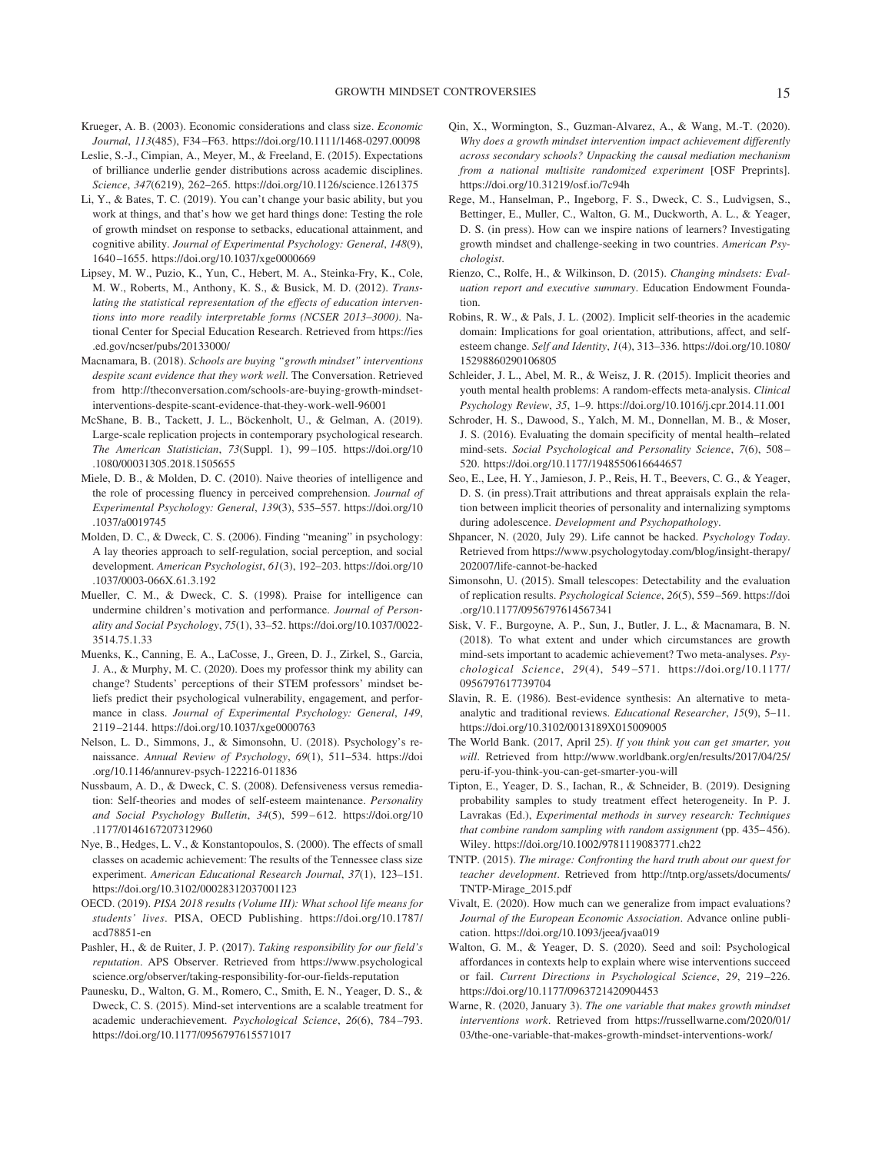- <span id="page-14-27"></span>Krueger, A. B. (2003). Economic considerations and class size. *Economic Journal*, *113*(485), F34 –F63.<https://doi.org/10.1111/1468-0297.00098>
- <span id="page-14-12"></span>Leslie, S.-J., Cimpian, A., Meyer, M., & Freeland, E. (2015). Expectations of brilliance underlie gender distributions across academic disciplines. *Science*, *347*(6219), 262–265.<https://doi.org/10.1126/science.1261375>
- <span id="page-14-4"></span>Li, Y., & Bates, T. C. (2019). You can't change your basic ability, but you work at things, and that's how we get hard things done: Testing the role of growth mindset on response to setbacks, educational attainment, and cognitive ability. *Journal of Experimental Psychology: General*, *148*(9), 1640 –1655.<https://doi.org/10.1037/xge0000669>
- <span id="page-14-30"></span>Lipsey, M. W., Puzio, K., Yun, C., Hebert, M. A., Steinka-Fry, K., Cole, M. W., Roberts, M., Anthony, K. S., & Busick, M. D. (2012). *Translating the statistical representation of the effects of education interventions into more readily interpretable forms (NCSER 2013–3000)*. National Center for Special Education Research. Retrieved from [https://ies](https://ies.ed.gov/ncser/pubs/20133000/) [.ed.gov/ncser/pubs/20133000/](https://ies.ed.gov/ncser/pubs/20133000/)
- <span id="page-14-5"></span>Macnamara, B. (2018). *Schools are buying "growth mindset" interventions despite scant evidence that they work well*. The Conversation. Retrieved from [http://theconversation.com/schools-are-buying-growth-mindset](http://theconversation.com/schools-are-buying-growth-mindset-interventions-despite-scant-evidence-that-they-work-well-96001)[interventions-despite-scant-evidence-that-they-work-well-96001](http://theconversation.com/schools-are-buying-growth-mindset-interventions-despite-scant-evidence-that-they-work-well-96001)
- <span id="page-14-26"></span>McShane, B. B., Tackett, J. L., Böckenholt, U., & Gelman, A. (2019). Large-scale replication projects in contemporary psychological research. *The American Statistician*, *73*(Suppl. 1), 99 –105. [https://doi.org/10](https://doi.org/10.1080/00031305.2018.1505655) [.1080/00031305.2018.1505655](https://doi.org/10.1080/00031305.2018.1505655)
- <span id="page-14-21"></span>Miele, D. B., & Molden, D. C. (2010). Naive theories of intelligence and the role of processing fluency in perceived comprehension. *Journal of Experimental Psychology: General*, *139*(3), 535–557. [https://doi.org/10](https://doi.org/10.1037/a0019745) [.1037/a0019745](https://doi.org/10.1037/a0019745)
- <span id="page-14-15"></span>Molden, D. C., & Dweck, C. S. (2006). Finding "meaning" in psychology: A lay theories approach to self-regulation, social perception, and social development. *American Psychologist*, *61*(3), 192–203. [https://doi.org/10](https://doi.org/10.1037/0003-066X.61.3.192) [.1037/0003-066X.61.3.192](https://doi.org/10.1037/0003-066X.61.3.192)
- <span id="page-14-17"></span>Mueller, C. M., & Dweck, C. S. (1998). Praise for intelligence can undermine children's motivation and performance. *Journal of Personality and Social Psychology*, *75*(1), 33–52. [https://doi.org/10.1037/0022-](https://doi.org/10.1037/0022-3514.75.1.33) [3514.75.1.33](https://doi.org/10.1037/0022-3514.75.1.33)
- <span id="page-14-13"></span>Muenks, K., Canning, E. A., LaCosse, J., Green, D. J., Zirkel, S., Garcia, J. A., & Murphy, M. C. (2020). Does my professor think my ability can change? Students' perceptions of their STEM professors' mindset beliefs predict their psychological vulnerability, engagement, and performance in class. *Journal of Experimental Psychology: General*, *149*, 2119 –2144.<https://doi.org/10.1037/xge0000763>
- <span id="page-14-2"></span>Nelson, L. D., Simmons, J., & Simonsohn, U. (2018). Psychology's renaissance. *Annual Review of Psychology*, *69*(1), 511–534. [https://doi](https://doi.org/10.1146/annurev-psych-122216-011836) [.org/10.1146/annurev-psych-122216-011836](https://doi.org/10.1146/annurev-psych-122216-011836)
- <span id="page-14-22"></span>Nussbaum, A. D., & Dweck, C. S. (2008). Defensiveness versus remediation: Self-theories and modes of self-esteem maintenance. *Personality and Social Psychology Bulletin*, *34*(5), 599 – 612. [https://doi.org/10](https://doi.org/10.1177/0146167207312960) [.1177/0146167207312960](https://doi.org/10.1177/0146167207312960)
- <span id="page-14-31"></span>Nye, B., Hedges, L. V., & Konstantopoulos, S. (2000). The effects of small classes on academic achievement: The results of the Tennessee class size experiment. *American Educational Research Journal*, *37*(1), 123–151. <https://doi.org/10.3102/00028312037001123>
- <span id="page-14-16"></span>OECD. (2019). *PISA 2018 results (Volume III): What school life means for students' lives*. PISA, OECD Publishing. [https://doi.org/10.1787/](https://doi.org/10.1787/acd78851-en) [acd78851-en](https://doi.org/10.1787/acd78851-en)
- <span id="page-14-25"></span>Pashler, H., & de Ruiter, J. P. (2017). *Taking responsibility for our field's reputation*. APS Observer. Retrieved from [https://www.psychological](https://www.psychologicalscience.org/observer/taking-responsibility-for-our-fields-reputation) [science.org/observer/taking-responsibility-for-our-fields-reputation](https://www.psychologicalscience.org/observer/taking-responsibility-for-our-fields-reputation)
- <span id="page-14-23"></span>Paunesku, D., Walton, G. M., Romero, C., Smith, E. N., Yeager, D. S., & Dweck, C. S. (2015). Mind-set interventions are a scalable treatment for academic underachievement. *Psychological Science*, *26*(6), 784 –793. <https://doi.org/10.1177/0956797615571017>
- <span id="page-14-1"></span>Qin, X., Wormington, S., Guzman-Alvarez, A., & Wang, M.-T. (2020). *Why does a growth mindset intervention impact achievement differently across secondary schools? Unpacking the causal mediation mechanism from a national multisite randomized experiment* [OSF Preprints]. <https://doi.org/10.31219/osf.io/7c94h>
- <span id="page-14-0"></span>Rege, M., Hanselman, P., Ingeborg, F. S., Dweck, C. S., Ludvigsen, S., Bettinger, E., Muller, C., Walton, G. M., Duckworth, A. L., & Yeager, D. S. (in press). How can we inspire nations of learners? Investigating growth mindset and challenge-seeking in two countries. *American Psychologist*.
- <span id="page-14-14"></span>Rienzo, C., Rolfe, H., & Wilkinson, D. (2015). *Changing mindsets: Evaluation report and executive summary*. Education Endowment Foundation.
- <span id="page-14-20"></span>Robins, R. W., & Pals, J. L. (2002). Implicit self-theories in the academic domain: Implications for goal orientation, attributions, affect, and selfesteem change. *Self and Identity*, *1*(4), 313–336. [https://doi.org/10.1080/](https://doi.org/10.1080/15298860290106805) [15298860290106805](https://doi.org/10.1080/15298860290106805)
- <span id="page-14-18"></span>Schleider, J. L., Abel, M. R., & Weisz, J. R. (2015). Implicit theories and youth mental health problems: A random-effects meta-analysis. *Clinical Psychology Review*, *35*, 1–9.<https://doi.org/10.1016/j.cpr.2014.11.001>
- <span id="page-14-6"></span>Schroder, H. S., Dawood, S., Yalch, M. M., Donnellan, M. B., & Moser, J. S. (2016). Evaluating the domain specificity of mental health–related mind-sets. *Social Psychological and Personality Science*, *7*(6), 508 – 520.<https://doi.org/10.1177/1948550616644657>
- <span id="page-14-19"></span>Seo, E., Lee, H. Y., Jamieson, J. P., Reis, H. T., Beevers, C. G., & Yeager, D. S. (in press).Trait attributions and threat appraisals explain the relation between implicit theories of personality and internalizing symptoms during adolescence. *Development and Psychopathology*.
- <span id="page-14-8"></span>Shpancer, N. (2020, July 29). Life cannot be hacked. *Psychology Today*. Retrieved from [https://www.psychologytoday.com/blog/insight-therapy/](https://www.psychologytoday.com/blog/insight-therapy/202007/life-cannot-be-hacked) [202007/life-cannot-be-hacked](https://www.psychologytoday.com/blog/insight-therapy/202007/life-cannot-be-hacked)
- <span id="page-14-24"></span>Simonsohn, U. (2015). Small telescopes: Detectability and the evaluation of replication results. *Psychological Science*, *26*(5), 559 –569. [https://doi](https://doi.org/10.1177/0956797614567341) [.org/10.1177/0956797614567341](https://doi.org/10.1177/0956797614567341)
- <span id="page-14-7"></span>Sisk, V. F., Burgoyne, A. P., Sun, J., Butler, J. L., & Macnamara, B. N. (2018). To what extent and under which circumstances are growth mind-sets important to academic achievement? Two meta-analyses. *Psychological Science*, *29*(4), 549 –571. [https://doi.org/10.1177/](https://doi.org/10.1177/0956797617739704) [0956797617739704](https://doi.org/10.1177/0956797617739704)
- <span id="page-14-29"></span>Slavin, R. E. (1986). Best-evidence synthesis: An alternative to metaanalytic and traditional reviews. *Educational Researcher*, *15*(9), 5–11. <https://doi.org/10.3102/0013189X015009005>
- <span id="page-14-10"></span>The World Bank. (2017, April 25). *If you think you can get smarter, you will*. Retrieved from [http://www.worldbank.org/en/results/2017/04/25/](http://www.worldbank.org/en/results/2017/04/25/peru-if-you-think-you-can-get-smarter-you-will) [peru-if-you-think-you-can-get-smarter-you-will](http://www.worldbank.org/en/results/2017/04/25/peru-if-you-think-you-can-get-smarter-you-will)
- <span id="page-14-3"></span>Tipton, E., Yeager, D. S., Iachan, R., & Schneider, B. (2019). Designing probability samples to study treatment effect heterogeneity. In P. J. Lavrakas (Ed.), *Experimental methods in survey research: Techniques that combine random sampling with random assignment* (pp. 435–456). Wiley.<https://doi.org/10.1002/9781119083771.ch22>
- <span id="page-14-32"></span>TNTP. (2015). *The mirage: Confronting the hard truth about our quest for teacher development*. Retrieved from [http://tntp.org/assets/documents/](http://tntp.org/assets/documents/TNTP-Mirage_2015.pdf) [TNTP-Mirage\\_2015.pdf](http://tntp.org/assets/documents/TNTP-Mirage_2015.pdf)
- <span id="page-14-11"></span>Vivalt, E. (2020). How much can we generalize from impact evaluations? *Journal of the European Economic Association*. Advance online publication.<https://doi.org/10.1093/jeea/jvaa019>
- <span id="page-14-28"></span>Walton, G. M., & Yeager, D. S. (2020). Seed and soil: Psychological affordances in contexts help to explain where wise interventions succeed or fail. *Current Directions in Psychological Science*, *29*, 219 –226. <https://doi.org/10.1177/0963721420904453>
- <span id="page-14-9"></span>Warne, R. (2020, January 3). *The one variable that makes growth mindset interventions work*. Retrieved from [https://russellwarne.com/2020/01/](https://russellwarne.com/2020/01/03/the-one-variable-that-makes-growth-mindset-interventions-work/) [03/the-one-variable-that-makes-growth-mindset-interventions-work/](https://russellwarne.com/2020/01/03/the-one-variable-that-makes-growth-mindset-interventions-work/)